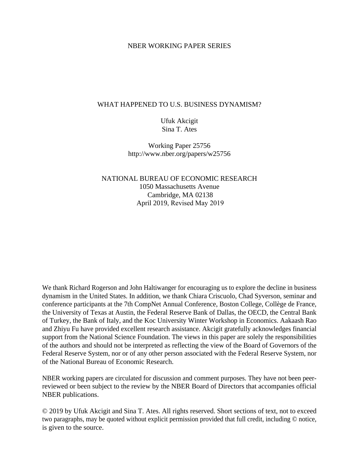### NBER WORKING PAPER SERIES

### WHAT HAPPENED TO U.S. BUSINESS DYNAMISM?

### Ufuk Akcigit Sina T. Ates

Working Paper 25756 http://www.nber.org/papers/w25756

NATIONAL BUREAU OF ECONOMIC RESEARCH 1050 Massachusetts Avenue Cambridge, MA 02138 April 2019, Revised May 2019

We thank Richard Rogerson and John Haltiwanger for encouraging us to explore the decline in business dynamism in the United States. In addition, we thank Chiara Criscuolo, Chad Syverson, seminar and conference participants at the 7th CompNet Annual Conference, Boston College, Collège de France, the University of Texas at Austin, the Federal Reserve Bank of Dallas, the OECD, the Central Bank of Turkey, the Bank of Italy, and the Koc University Winter Workshop in Economics. Aakaash Rao and Zhiyu Fu have provided excellent research assistance. Akcigit gratefully acknowledges financial support from the National Science Foundation. The views in this paper are solely the responsibilities of the authors and should not be interpreted as reflecting the view of the Board of Governors of the Federal Reserve System, nor or of any other person associated with the Federal Reserve System, nor of the National Bureau of Economic Research.

NBER working papers are circulated for discussion and comment purposes. They have not been peerreviewed or been subject to the review by the NBER Board of Directors that accompanies official NBER publications.

© 2019 by Ufuk Akcigit and Sina T. Ates. All rights reserved. Short sections of text, not to exceed two paragraphs, may be quoted without explicit permission provided that full credit, including © notice, is given to the source.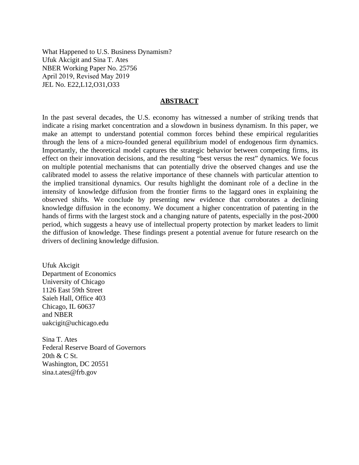What Happened to U.S. Business Dynamism? Ufuk Akcigit and Sina T. Ates NBER Working Paper No. 25756 April 2019, Revised May 2019 JEL No. E22,L12,O31,O33

### **ABSTRACT**

In the past several decades, the U.S. economy has witnessed a number of striking trends that indicate a rising market concentration and a slowdown in business dynamism. In this paper, we make an attempt to understand potential common forces behind these empirical regularities through the lens of a micro-founded general equilibrium model of endogenous firm dynamics. Importantly, the theoretical model captures the strategic behavior between competing firms, its effect on their innovation decisions, and the resulting "best versus the rest" dynamics. We focus on multiple potential mechanisms that can potentially drive the observed changes and use the calibrated model to assess the relative importance of these channels with particular attention to the implied transitional dynamics. Our results highlight the dominant role of a decline in the intensity of knowledge diffusion from the frontier firms to the laggard ones in explaining the observed shifts. We conclude by presenting new evidence that corroborates a declining knowledge diffusion in the economy. We document a higher concentration of patenting in the hands of firms with the largest stock and a changing nature of patents, especially in the post-2000 period, which suggests a heavy use of intellectual property protection by market leaders to limit the diffusion of knowledge. These findings present a potential avenue for future research on the drivers of declining knowledge diffusion.

Ufuk Akcigit Department of Economics University of Chicago 1126 East 59th Street Saieh Hall, Office 403 Chicago, IL 60637 and NBER uakcigit@uchicago.edu

Sina T. Ates Federal Reserve Board of Governors 20th & C St. Washington, DC 20551 sina.t.ates@frb.gov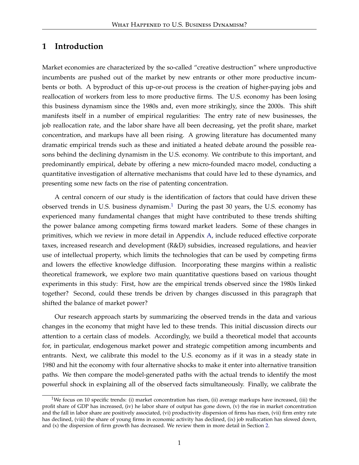### **1 Introduction**

Market economies are characterized by the so-called "creative destruction" where unproductive incumbents are pushed out of the market by new entrants or other more productive incumbents or both. A byproduct of this up-or-out process is the creation of higher-paying jobs and reallocation of workers from less to more productive firms. The U.S. economy has been losing this business dynamism since the 1980s and, even more strikingly, since the 2000s. This shift manifests itself in a number of empirical regularities: The entry rate of new businesses, the job reallocation rate, and the labor share have all been decreasing, yet the profit share, market concentration, and markups have all been rising. A growing literature has documented many dramatic empirical trends such as these and initiated a heated debate around the possible reasons behind the declining dynamism in the U.S. economy. We contribute to this important, and predominantly empirical, debate by offering a new micro-founded macro model, conducting a quantitative investigation of alternative mechanisms that could have led to these dynamics, and presenting some new facts on the rise of patenting concentration.

A central concern of our study is the identification of factors that could have driven these observed trends in U.S. business dynamism.<sup>[1](#page-2-0)</sup> During the past 30 years, the U.S. economy has experienced many fundamental changes that might have contributed to these trends shifting the power balance among competing firms toward market leaders. Some of these changes in primitives, which we review in more detail in Appendix [A,](#page-57-0) include reduced effective corporate taxes, increased research and development (R&D) subsidies, increased regulations, and heavier use of intellectual property, which limits the technologies that can be used by competing firms and lowers the effective knowledge diffusion. Incorporating these margins within a realistic theoretical framework, we explore two main quantitative questions based on various thought experiments in this study: First, how are the empirical trends observed since the 1980s linked together? Second, could these trends be driven by changes discussed in this paragraph that shifted the balance of market power?

Our research approach starts by summarizing the observed trends in the data and various changes in the economy that might have led to these trends. This initial discussion directs our attention to a certain class of models. Accordingly, we build a theoretical model that accounts for, in particular, endogenous market power and strategic competition among incumbents and entrants. Next, we calibrate this model to the U.S. economy as if it was in a steady state in 1980 and hit the economy with four alternative shocks to make it enter into alternative transition paths. We then compare the model-generated paths with the actual trends to identify the most powerful shock in explaining all of the observed facts simultaneously. Finally, we calibrate the

<span id="page-2-0"></span><sup>&</sup>lt;sup>1</sup>We focus on 10 specific trends: (i) market concentration has risen, (ii) average markups have increased, (iii) the profit share of GDP has increased, (iv) he labor share of output has gone down, (v) the rise in market concentration and the fall in labor share are positively associated, (vi) productivity dispersion of firms has risen, (vii) firm entry rate has declined, (viii) the share of young firms in economic activity has declined, (ix) job reallocation has slowed down, and (x) the dispersion of firm growth has decreased. We review them in more detail in Section [2.](#page-6-0)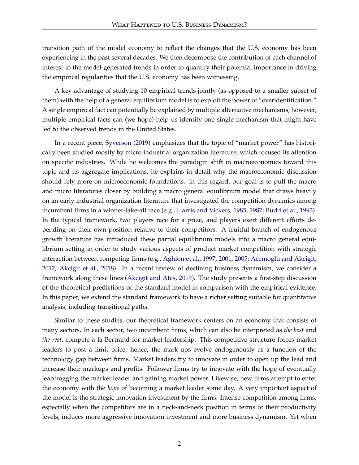transition path of the model economy to reflect the changes that the U.S. economy has been experiencing in the past several decades. We then decompose the contribution of each channel of interest to the model-generated trends in order to quantify their potential importance in driving the empirical regularities that the U.S. economy has been witnessing.

A key advantage of studying 10 empirical trends jointly (as opposed to a smaller subset of them) with the help of a general equilibrium model is to exploit the power of "overidentification." A single empirical fact can potentially be explained by multiple alternative mechanisms; however, multiple empirical facts can (we hope) help us identify one single mechanism that might have led to the observed trends in the United States.

In a recent piece, [Syverson](#page-56-0) [\(2019\)](#page-56-0) emphasizes that the topic of "market power" has historically been studied mostly by micro industrial organization literature, which focused its attention on specific industries. While he welcomes the paradigm shift in macroeconomics toward this topic and its aggregate implications, he explains in detail why the macroeconomic discussion should rely more on microeconomic foundations. In this regard, our goal is to pull the macro and micro literatures closer by building a macro general equilibrium model that draws heavily on an early industrial organization literature that investigated the competition dynamics among incumbent firms in a winner-take-all race (e.g., [Harris and Vickers,](#page-54-0) [1985,](#page-54-0) [1987;](#page-54-1) [Budd et al.,](#page-52-0) [1993\)](#page-52-0). In the typical framework, two players race for a prize, and players exert different efforts depending on their own position relative to their competitors. A fruitful branch of endogenous growth literature has introduced these partial equilibrium models into a macro general equilibrium setting in order to study various aspects of product market competition with strategic interaction between competing firms (e.g., [Aghion et al.,](#page-51-0) [1997,](#page-51-0) [2001,](#page-51-1) [2005;](#page-51-2) [Acemoglu and Akcigit,](#page-51-3) [2012;](#page-51-3) [Akcigit et al.,](#page-51-4) [2018\)](#page-51-4). In a recent review of declining business dynamism, we consider a framework along these lines [\(Akcigit and Ates,](#page-51-5) [2019\)](#page-51-5). The study presents a first-step discussion of the theoretical predictions of the standard model in comparison with the empirical evidence. In this paper, we extend the standard framework to have a richer setting suitable for quantitative analysis, including transitional paths.

Similar to these studies, our theoretical framework centers on an economy that consists of many sectors. In each sector, two incumbent firms, which can also be interpreted as *the best* and *the rest*, compete à la Bertrand for market leadership. This competitive structure forces market leaders to post a limit price; hence, the mark-ups evolve endogenously as a function of the technology gap between firms. Market leaders try to innovate in order to open up the lead and increase their markups and profits. Follower firms try to innovate with the hope of eventually leapfrogging the market leader and gaining market power. Likewise, new firms attempt to enter the economy with the *hope* of becoming a market leader some day. A very important aspect of the model is the strategic innovation investment by the firms: Intense competition among firms, especially when the competitors are in a neck-and-neck position in terms of their productivity levels, induces more aggressive innovation investment and more business dynamism. Yet when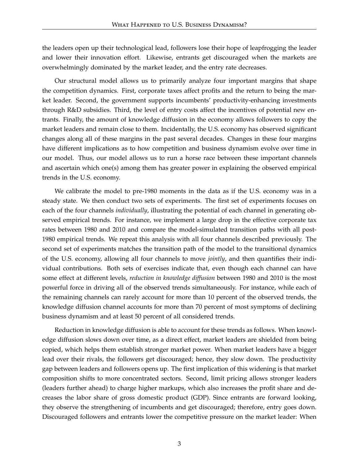the leaders open up their technological lead, followers lose their hope of leapfrogging the leader and lower their innovation effort. Likewise, entrants get discouraged when the markets are overwhelmingly dominated by the market leader, and the entry rate decreases.

Our structural model allows us to primarily analyze four important margins that shape the competition dynamics. First, corporate taxes affect profits and the return to being the market leader. Second, the government supports incumbents' productivity-enhancing investments through R&D subsidies. Third, the level of entry costs affect the incentives of potential new entrants. Finally, the amount of knowledge diffusion in the economy allows followers to copy the market leaders and remain close to them. Incidentally, the U.S. economy has observed significant changes along all of these margins in the past several decades. Changes in these four margins have different implications as to how competition and business dynamism evolve over time in our model. Thus, our model allows us to run a horse race between these important channels and ascertain which one(s) among them has greater power in explaining the observed empirical trends in the U.S. economy.

We calibrate the model to pre-1980 moments in the data as if the U.S. economy was in a steady state. We then conduct two sets of experiments. The first set of experiments focuses on each of the four channels *individually*, illustrating the potential of each channel in generating observed empirical trends. For instance, we implement a large drop in the effective corporate tax rates between 1980 and 2010 and compare the model-simulated transition paths with all post-1980 empirical trends. We repeat this analysis with all four channels described previously. The second set of experiments matches the transition path of the model to the transitional dynamics of the U.S. economy, allowing all four channels to move *jointly*, and then quantifies their individual contributions. Both sets of exercises indicate that, even though each channel can have some effect at different levels, *reduction in knowledge diffusion* between 1980 and 2010 is the most powerful force in driving all of the observed trends simultaneously. For instance, while each of the remaining channels can rarely account for more than 10 percent of the observed trends, the knowledge diffusion channel accounts for more than 70 percent of most symptoms of declining business dynamism and at least 50 percent of all considered trends.

Reduction in knowledge diffusion is able to account for these trends as follows. When knowledge diffusion slows down over time, as a direct effect, market leaders are shielded from being copied, which helps them establish stronger market power. When market leaders have a bigger lead over their rivals, the followers get discouraged; hence, they slow down. The productivity gap between leaders and followers opens up. The first implication of this widening is that market composition shifts to more concentrated sectors. Second, limit pricing allows stronger leaders (leaders further ahead) to charge higher markups, which also increases the profit share and decreases the labor share of gross domestic product (GDP). Since entrants are forward looking, they observe the strengthening of incumbents and get discouraged; therefore, entry goes down. Discouraged followers and entrants lower the competitive pressure on the market leader: When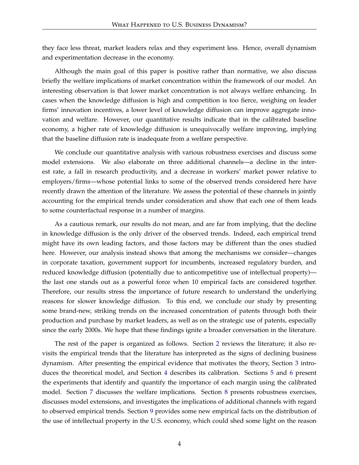they face less threat, market leaders relax and they experiment less. Hence, overall dynamism and experimentation decrease in the economy.

Although the main goal of this paper is positive rather than normative, we also discuss briefly the welfare implications of market concentration within the framework of our model. An interesting observation is that lower market concentration is not always welfare enhancing. In cases when the knowledge diffusion is high and competition is too fierce, weighing on leader firms' innovation incentives, a lower level of knowledge diffusion can improve aggregate innovation and welfare. However, our quantitative results indicate that in the calibrated baseline economy, a higher rate of knowledge diffusion is unequivocally welfare improving, implying that the baseline diffusion rate is inadequate from a welfare perspective.

We conclude our quantitative analysis with various robustness exercises and discuss some model extensions. We also elaborate on three additional channels—a decline in the interest rate, a fall in research productivity, and a decrease in workers' market power relative to employers/firms—whose potential links to some of the observed trends considered here have recently drawn the attention of the literature. We assess the potential of these channels in jointly accounting for the empirical trends under consideration and show that each one of them leads to some counterfactual response in a number of margins.

As a cautious remark, our results do not mean, and are far from implying, that the decline in knowledge diffusion is the only driver of the observed trends. Indeed, each empirical trend might have its own leading factors, and those factors may be different than the ones studied here. However, our analysis instead shows that among the mechanisms we consider—changes in corporate taxation, government support for incumbents, increased regulatory burden, and reduced knowledge diffusion (potentially due to anticompetitive use of intellectual property) the last one stands out as a powerful force when 10 empirical facts are considered together. Therefore, our results stress the importance of future research to understand the underlying reasons for slower knowledge diffusion. To this end, we conclude our study by presenting some brand-new, striking trends on the increased concentration of patents through both their production and purchase by market leaders, as well as on the strategic use of patents, especially since the early 2000s. We hope that these findings ignite a broader conversation in the literature.

The rest of the paper is organized as follows. Section [2](#page-6-0) reviews the literature; it also revisits the empirical trends that the literature has interpreted as the signs of declining business dynamism. After presenting the empirical evidence that motivates the theory, Section [3](#page-9-0) introduces the theoretical model, and Section [4](#page-20-0) describes its calibration. Sections [5](#page-24-0) and [6](#page-29-0) present the experiments that identify and quantify the importance of each margin using the calibrated model. Section [7](#page-36-0) discusses the welfare implications. Section [8](#page-38-0) presents robustness exercises, discusses model extensions, and investigates the implications of additional channels with regard to observed empirical trends. Section [9](#page-45-0) provides some new empirical facts on the distribution of the use of intellectual property in the U.S. economy, which could shed some light on the reason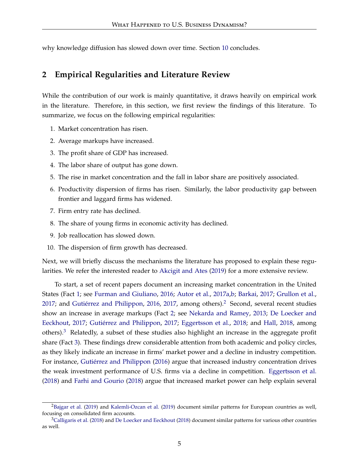why knowledge diffusion has slowed down over time. Section [10](#page-49-0) concludes.

### <span id="page-6-0"></span>**2 Empirical Regularities and Literature Review**

While the contribution of our work is mainly quantitative, it draws heavily on empirical work in the literature. Therefore, in this section, we first review the findings of this literature. To summarize, we focus on the following empirical regularities:

- <span id="page-6-3"></span><span id="page-6-1"></span>1. Market concentration has risen.
- <span id="page-6-5"></span>2. Average markups have increased.
- <span id="page-6-6"></span>3. The profit share of GDP has increased.
- <span id="page-6-7"></span>4. The labor share of output has gone down.
- <span id="page-6-8"></span>5. The rise in market concentration and the fall in labor share are positively associated.
- 6. Productivity dispersion of firms has risen. Similarly, the labor productivity gap between frontier and laggard firms has widened.
- <span id="page-6-10"></span><span id="page-6-9"></span>7. Firm entry rate has declined.
- <span id="page-6-11"></span>8. The share of young firms in economic activity has declined.
- <span id="page-6-12"></span>9. Job reallocation has slowed down.
- 10. The dispersion of firm growth has decreased.

Next, we will briefly discuss the mechanisms the literature has proposed to explain these regularities. We refer the interested reader to [Akcigit and Ates](#page-51-5) [\(2019\)](#page-51-5) for a more extensive review.

To start, a set of recent papers document an increasing market concentration in the United States (Fact [1;](#page-6-1) see [Furman and Giuliano,](#page-54-2) [2016;](#page-54-2) [Autor et al.,](#page-51-6) [2017a](#page-51-6)[,b;](#page-51-7) [Barkai,](#page-52-1) [2017;](#page-52-1) [Grullon et al.,](#page-54-3) [2017;](#page-54-3) and [Gutiérrez and Philippon,](#page-54-4) [2016,](#page-54-4) [2017,](#page-54-5) among others).<sup>[2](#page-6-2)</sup> Second, several recent studies show an increase in average markups (Fact [2;](#page-6-3) see [Nekarda and Ramey,](#page-55-0) [2013;](#page-55-0) [De Loecker and](#page-53-0) [Eeckhout,](#page-53-0) [2017;](#page-53-0) [Gutiérrez and Philippon,](#page-54-5) [2017;](#page-54-5) [Eggertsson et al.,](#page-53-1) [2018;](#page-53-1) and [Hall,](#page-54-6) [2018,](#page-54-6) among others).[3](#page-6-4) Relatedly, a subset of these studies also highlight an increase in the aggregate profit share (Fact [3\)](#page-6-5). These findings drew considerable attention from both academic and policy circles, as they likely indicate an increase in firms' market power and a decline in industry competition. For instance, [Gutiérrez and Philippon](#page-54-4) [\(2016\)](#page-54-4) argue that increased industry concentration drives the weak investment performance of U.S. firms via a decline in competition. [Eggertsson et al.](#page-53-1) [\(2018\)](#page-53-1) and [Farhi and Gourio](#page-54-7) [\(2018\)](#page-54-7) argue that increased market power can help explain several

<span id="page-6-2"></span> $2$ [Bajgar et al.](#page-52-2) [\(2019\)](#page-55-1) and [Kalemli-Ozcan et al.](#page-55-1) (2019) document similar patterns for European countries as well, focusing on consolidated firm accounts.

<span id="page-6-4"></span> $3$ [Calligaris et al.](#page-52-3) [\(2018\)](#page-53-2) and [De Loecker and Eeckhout](#page-53-2) (2018) document similar patterns for various other countries as well.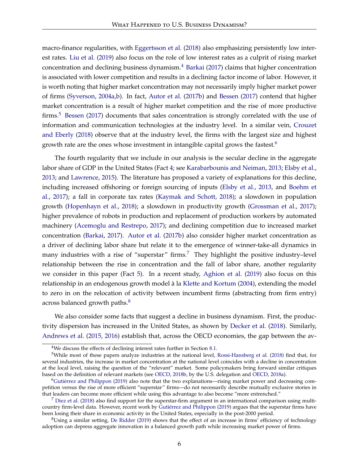macro-finance regularities, with [Eggertsson et al.](#page-53-1) [\(2018\)](#page-53-1) also emphasizing persistently low interest rates. [Liu et al.](#page-55-2) [\(2019\)](#page-55-2) also focus on the role of low interest rates as a culprit of rising market concentration and declining business dynamism.<sup>[4](#page-7-0)</sup> [Barkai](#page-52-1) [\(2017\)](#page-52-1) claims that higher concentration is associated with lower competition and results in a declining factor income of labor. However, it is worth noting that higher market concentration may not necessarily imply higher market power of firms [\(Syverson,](#page-56-1) [2004a,](#page-56-1)[b\)](#page-56-2). In fact, [Autor et al.](#page-51-7) [\(2017b\)](#page-51-7) and [Bessen](#page-52-4) [\(2017\)](#page-52-4) contend that higher market concentration is a result of higher market competition and the rise of more productive firms.<sup>[5](#page-7-1)</sup> [Bessen](#page-52-4) [\(2017\)](#page-52-4) documents that sales concentration is strongly correlated with the use of information and communication technologies at the industry level. In a similar vein, [Crouzet](#page-53-3) [and Eberly](#page-53-3) [\(2018\)](#page-53-3) observe that at the industry level, the firms with the largest size and highest growth rate are the ones whose investment in intangible capital grows the fastest.<sup>[6](#page-7-2)</sup>

The fourth regularity that we include in our analysis is the secular decline in the aggregate labor share of GDP in the United States (Fact [4;](#page-6-6) see [Karabarbounis and Neiman,](#page-55-3) [2013;](#page-55-3) [Elsby et al.,](#page-53-4) [2013;](#page-53-4) and [Lawrence,](#page-55-4) [2015\)](#page-55-4). The literature has proposed a variety of explanations for this decline, including increased offshoring or foreign sourcing of inputs [\(Elsby et al.,](#page-53-4) [2013,](#page-53-4) and [Boehm et](#page-52-5) [al.,](#page-52-5) [2017\)](#page-52-5); a fall in corporate tax rates [\(Kaymak and Schott,](#page-55-5) [2018\)](#page-55-5); a slowdown in population growth [\(Hopenhayn et al.,](#page-54-8) [2018\)](#page-54-8); a slowdown in productivity growth [\(Grossman et al.,](#page-54-9) [2017\)](#page-54-9); higher prevalence of robots in production and replacement of production workers by automated machinery [\(Acemoglu and Restrepo,](#page-51-8) [2017\)](#page-51-8); and declining competition due to increased market concentration [\(Barkai,](#page-52-1) [2017\)](#page-52-1). [Autor et al.](#page-51-7) [\(2017b\)](#page-51-7) also consider higher market concentration as a driver of declining labor share but relate it to the emergence of winner-take-all dynamics in many industries with a rise of "superstar" firms.<sup>[7](#page-7-3)</sup> They highlight the positive industry–level relationship between the rise in concentration and the fall of labor share, another regularity we consider in this paper (Fact [5\)](#page-6-7). In a recent study, [Aghion et al.](#page-51-9) [\(2019\)](#page-51-9) also focus on this relationship in an endogenous growth model à la [Klette and Kortum](#page-55-6) [\(2004\)](#page-55-6), extending the model to zero in on the relocation of activity between incumbent firms (abstracting from firm entry) across balanced growth paths.<sup>[8](#page-7-4)</sup>

We also consider some facts that suggest a decline in business dynamism. First, the productivity dispersion has increased in the United States, as shown by [Decker et al.](#page-53-5) [\(2018\)](#page-53-5). Similarly, [Andrews et al.](#page-51-10) [\(2015,](#page-51-10) [2016\)](#page-51-11) establish that, across the OECD economies, the gap between the av-

<span id="page-7-1"></span><span id="page-7-0"></span><sup>&</sup>lt;sup>4</sup>We discuss the effects of declining interest rates further in Section [8.1.](#page-38-1)

<sup>5</sup>While most of these papers analyze industries at the national level, [Rossi-Hansberg et al.](#page-56-3) [\(2018\)](#page-56-3) find that, for several industries, the increase in market concentration at the national level coincides with a decline in concentration at the local level, raising the question of the "relevant" market. Some policymakers bring forward similar critiques based on the definition of relevant markets (see [OECD,](#page-55-7) [2018b,](#page-55-7) by the U.S. delegation and [OECD,](#page-55-8) [2018a\)](#page-55-8).

<span id="page-7-2"></span> $6$ [Gutiérrez and Philippon](#page-54-10) [\(2019\)](#page-54-10) also note that the two explanations—rising market power and decreasing competition versus the rise of more efficient "superstar" firms—do not necessarily describe mutually exclusive stories in that leaders can become more efficient while using this advantage to also become "more entrenched."

<span id="page-7-3"></span> $<sup>7</sup>$  [Diez et al.](#page-53-6) [\(2018\)](#page-53-6) also find support for the superstar-firm argument in an international comparison using multi-</sup> country firm-level data. However, recent work by [Gutiérrez and Philippon](#page-54-10) [\(2019\)](#page-54-10) argues that the superstar firms have been losing their share in economic activity in the United States, especially in the post-2000 period.

<span id="page-7-4"></span> ${}^{8}$ Using a similar setting, [De Ridder](#page-53-7) [\(2019\)](#page-53-7) shows that the effect of an increase in firms' efficiency of technology adoption can depress aggregate innovation in a balanced growth path while increasing market power of firms.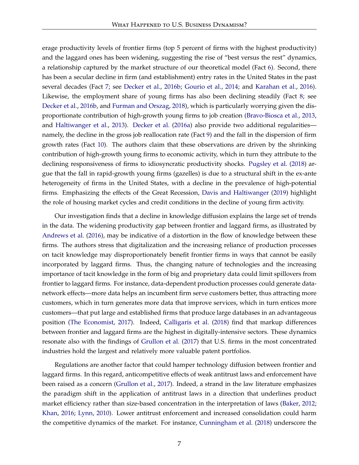erage productivity levels of frontier firms (top 5 percent of firms with the highest productivity) and the laggard ones has been widening, suggesting the rise of "best versus the rest" dynamics, a relationship captured by the market structure of our theoretical model (Fact [6\)](#page-6-8). Second, there has been a secular decline in firm (and establishment) entry rates in the United States in the past several decades (Fact [7;](#page-6-9) see [Decker et al.,](#page-53-8) [2016b;](#page-53-8) [Gourio et al.,](#page-54-11) [2014;](#page-54-11) and [Karahan et al.,](#page-55-9) [2016\)](#page-55-9). Likewise, the employment share of young firms has also been declining steadily (Fact [8;](#page-6-10) see [Decker et al.,](#page-53-8) [2016b,](#page-53-8) and [Furman and Orszag,](#page-54-12) [2018\)](#page-54-12), which is particularly worrying given the disproportionate contribution of high-growth young firms to job creation [\(Bravo-Biosca et al.,](#page-52-6) [2013,](#page-52-6) and [Haltiwanger et al.,](#page-54-13) [2013\)](#page-54-13). [Decker et al.](#page-53-9) [\(2016a\)](#page-53-9) also provide two additional regularities namely, the decline in the gross job reallocation rate (Fact [9\)](#page-6-11) and the fall in the dispersion of firm growth rates (Fact [10\)](#page-6-12). The authors claim that these observations are driven by the shrinking contribution of high-growth young firms to economic activity, which in turn they attribute to the declining responsiveness of firms to idiosyncratic productivity shocks. [Pugsley et al.](#page-56-4) [\(2018\)](#page-56-4) argue that the fall in rapid-growth young firms (gazelles) is due to a structural shift in the ex-ante heterogeneity of firms in the United States, with a decline in the prevalence of high-potential firms. Emphasizing the effects of the Great Recession, [Davis and Haltiwanger](#page-53-10) [\(2019\)](#page-53-10) highlight the role of housing market cycles and credit conditions in the decline of young firm activity.

Our investigation finds that a decline in knowledge diffusion explains the large set of trends in the data. The widening productivity gap between frontier and laggard firms, as illustrated by [Andrews et al.](#page-51-11) [\(2016\)](#page-51-11), may be indicative of a distortion in the flow of knowledge between these firms. The authors stress that digitalization and the increasing reliance of production processes on tacit knowledge may disproportionately benefit frontier firms in ways that cannot be easily incorporated by laggard firms. Thus, the changing nature of technologies and the increasing importance of tacit knowledge in the form of big and proprietary data could limit spillovers from frontier to laggard firms. For instance, data-dependent production processes could generate datanetwork effects—more data helps an incumbent firm serve customers better, thus attracting more customers, which in turn generates more data that improve services, which in turn entices more customers—that put large and established firms that produce large databases in an advantageous position [\(The Economist,](#page-56-5) [2017\)](#page-56-5). Indeed, [Calligaris et al.](#page-52-3) [\(2018\)](#page-52-3) find that markup differences between frontier and laggard firms are the highest in digitally-intensive sectors. These dynamics resonate also with the findings of [Grullon et al.](#page-54-3) [\(2017\)](#page-54-3) that U.S. firms in the most concentrated industries hold the largest and relatively more valuable patent portfolios.

Regulations are another factor that could hamper technology diffusion between frontier and laggard firms. In this regard, anticompetitive effects of weak antitrust laws and enforcement have been raised as a concern [\(Grullon et al.,](#page-54-3) [2017\)](#page-54-3). Indeed, a strand in the law literature emphasizes the paradigm shift in the application of antitrust laws in a direction that underlines product market efficiency rather than size-based concentration in the interpretation of laws [\(Baker,](#page-52-7) [2012;](#page-52-7) [Khan,](#page-55-10) [2016;](#page-55-10) [Lynn,](#page-55-11) [2010\)](#page-55-11). Lower antitrust enforcement and increased consolidation could harm the competitive dynamics of the market. For instance, [Cunningham et al.](#page-53-11) [\(2018\)](#page-53-11) underscore the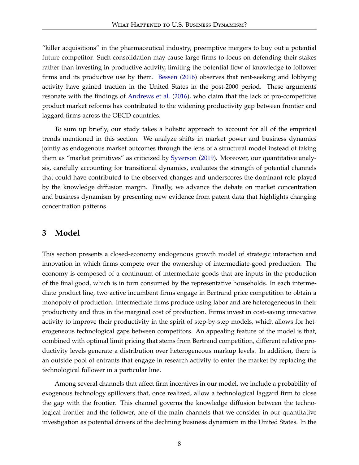"killer acquisitions" in the pharmaceutical industry, preemptive mergers to buy out a potential future competitor. Such consolidation may cause large firms to focus on defending their stakes rather than investing in productive activity, limiting the potential flow of knowledge to follower firms and its productive use by them. [Bessen](#page-52-8) [\(2016\)](#page-52-8) observes that rent-seeking and lobbying activity have gained traction in the United States in the post-2000 period. These arguments resonate with the findings of [Andrews et al.](#page-51-11) [\(2016\)](#page-51-11), who claim that the lack of pro-competitive product market reforms has contributed to the widening productivity gap between frontier and laggard firms across the OECD countries.

To sum up briefly, our study takes a holistic approach to account for all of the empirical trends mentioned in this section. We analyze shifts in market power and business dynamics jointly as endogenous market outcomes through the lens of a structural model instead of taking them as "market primitives" as criticized by [Syverson](#page-56-0) [\(2019\)](#page-56-0). Moreover, our quantitative analysis, carefully accounting for transitional dynamics, evaluates the strength of potential channels that could have contributed to the observed changes and underscores the dominant role played by the knowledge diffusion margin. Finally, we advance the debate on market concentration and business dynamism by presenting new evidence from patent data that highlights changing concentration patterns.

### <span id="page-9-0"></span>**3 Model**

This section presents a closed-economy endogenous growth model of strategic interaction and innovation in which firms compete over the ownership of intermediate-good production. The economy is composed of a continuum of intermediate goods that are inputs in the production of the final good, which is in turn consumed by the representative households. In each intermediate product line, two active incumbent firms engage in Bertrand price competition to obtain a monopoly of production. Intermediate firms produce using labor and are heterogeneous in their productivity and thus in the marginal cost of production. Firms invest in cost-saving innovative activity to improve their productivity in the spirit of step-by-step models, which allows for heterogeneous technological gaps between competitors. An appealing feature of the model is that, combined with optimal limit pricing that stems from Bertrand competition, different relative productivity levels generate a distribution over heterogeneous markup levels. In addition, there is an outside pool of entrants that engage in research activity to enter the market by replacing the technological follower in a particular line.

Among several channels that affect firm incentives in our model, we include a probability of exogenous technology spillovers that, once realized, allow a technological laggard firm to close the gap with the frontier. This channel governs the knowledge diffusion between the technological frontier and the follower, one of the main channels that we consider in our quantitative investigation as potential drivers of the declining business dynamism in the United States. In the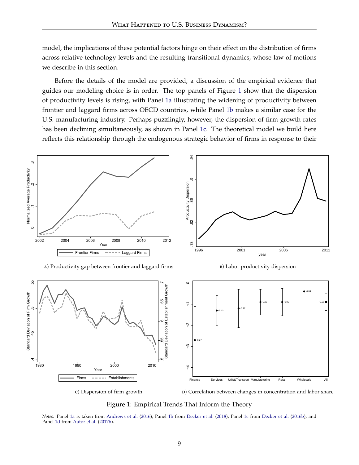model, the implications of these potential factors hinge on their effect on the distribution of firms across relative technology levels and the resulting transitional dynamics, whose law of motions we describe in this section.

Before the details of the model are provided, a discussion of the empirical evidence that guides our modeling choice is in order. The top panels of Figure [1](#page-10-0) show that the dispersion of productivity levels is rising, with Panel [1a](#page-10-1) illustrating the widening of productivity between frontier and laggard firms across OECD countries, while Panel [1b](#page-10-2) makes a similar case for the U.S. manufacturing industry. Perhaps puzzlingly, however, the dispersion of firm growth rates has been declining simultaneously, as shown in Panel [1c.](#page-10-3) The theoretical model we build here reflects this relationship through the endogenous strategic behavior of firms in response to their

<span id="page-10-1"></span><span id="page-10-0"></span>

<span id="page-10-4"></span><span id="page-10-2"></span>D) Correlation between changes in concentration and labor share

Figure 1: Empirical Trends That Inform the Theory

<span id="page-10-3"></span>*Notes:* Panel [1a](#page-10-1) is taken from [Andrews et al.](#page-51-11) [\(2016\)](#page-51-11), Panel [1b](#page-10-2) from [Decker et al.](#page-53-5) [\(2018\)](#page-53-5), Panel [1c](#page-10-3) from [Decker et al.](#page-53-8) [\(2016b\)](#page-53-8), and Panel [1d](#page-10-4) from [Autor et al.](#page-51-7) [\(2017b\)](#page-51-7).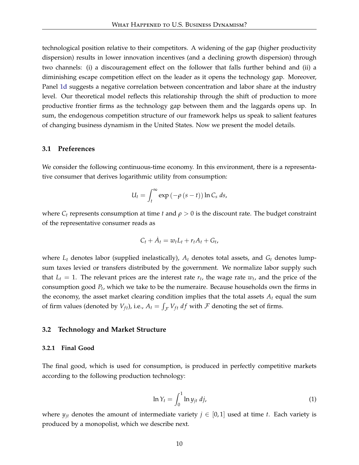technological position relative to their competitors. A widening of the gap (higher productivity dispersion) results in lower innovation incentives (and a declining growth dispersion) through two channels: (i) a discouragement effect on the follower that falls further behind and (ii) a diminishing escape competition effect on the leader as it opens the technology gap. Moreover, Panel [1d](#page-10-4) suggests a negative correlation between concentration and labor share at the industry level. Our theoretical model reflects this relationship through the shift of production to more productive frontier firms as the technology gap between them and the laggards opens up. In sum, the endogenous competition structure of our framework helps us speak to salient features of changing business dynamism in the United States. Now we present the model details.

#### **3.1 Preferences**

We consider the following continuous-time economy. In this environment, there is a representative consumer that derives logarithmic utility from consumption:

<span id="page-11-0"></span>
$$
U_t = \int_t^{\infty} \exp(-\rho (s - t)) \ln C_s ds,
$$

where  $C_t$  represents consumption at time *t* and  $\rho > 0$  is the discount rate. The budget constraint of the representative consumer reads as

$$
C_t + \dot{A}_t = w_t L_t + r_t A_t + G_t,
$$

where  $L_t$  denotes labor (supplied inelastically),  $A_t$  denotes total assets, and  $G_t$  denotes lumpsum taxes levied or transfers distributed by the government. We normalize labor supply such that  $L_t = 1$ . The relevant prices are the interest rate  $r_t$ , the wage rate  $w_t$ , and the price of the consumption good *P<sup>t</sup>* , which we take to be the numeraire. Because households own the firms in the economy, the asset market clearing condition implies that the total assets *A<sup>t</sup>* equal the sum of firm values (denoted by  $V_{ft}$ ), i.e.,  $A_t = \int_{\mathcal{F}} V_{ft} df$  with  $\mathcal{F}$  denoting the set of firms.

### **3.2 Technology and Market Structure**

#### **3.2.1 Final Good**

The final good, which is used for consumption, is produced in perfectly competitive markets according to the following production technology:

$$
\ln Y_t = \int_0^1 \ln y_{jt} \, dj,\tag{1}
$$

where  $y_{jt}$  denotes the amount of intermediate variety  $j \in [0,1]$  used at time *t*. Each variety is produced by a monopolist, which we describe next.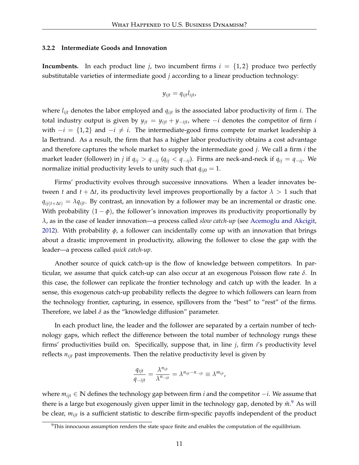### **3.2.2 Intermediate Goods and Innovation**

**Incumbents.** In each product line *j*, two incumbent firms  $i = \{1, 2\}$  produce two perfectly substitutable varieties of intermediate good *j* according to a linear production technology:

<span id="page-12-1"></span>
$$
y_{ijt} = q_{ijt}l_{ijt},
$$

where  $l_{ijt}$  denotes the labor employed and  $q_{ijt}$  is the associated labor productivity of firm *i*. The total industry output is given by  $y_{jt} = y_{ijt} + y_{-ijt}$ , where  $-i$  denotes the competitor of firm *i* with  $-i = \{1, 2\}$  and  $-i \neq i$ . The intermediate-good firms compete for market leadership à la Bertrand. As a result, the firm that has a higher labor productivity obtains a cost advantage and therefore captures the whole market to supply the intermediate good *j*. We call a firm *i* the market leader (follower) in *j* if  $q_{ij} > q_{-ij}$  ( $q_{ij} < q_{-ij}$ ). Firms are neck-and-neck if  $q_{ij} = q_{-ij}$ . We normalize initial productivity levels to unity such that  $q_{ij0} = 1$ .

Firms' productivity evolves through successive innovations. When a leader innovates between *t* and  $t + \Delta t$ , its productivity level improves proportionally by a factor  $\lambda > 1$  such that  $q_{ii(t+\Delta t)} = \lambda q_{ii}$ . By contrast, an innovation by a follower may be an incremental or drastic one. With probability  $(1 - \phi)$ , the follower's innovation improves its productivity proportionally by *λ*, as in the case of leader innovation—a process called *slow catch-up* (see [Acemoglu and Akcigit,](#page-51-3) [2012\)](#page-51-3). With probability *φ*, a follower can incidentally come up with an innovation that brings about a drastic improvement in productivity, allowing the follower to close the gap with the leader—a process called *quick catch-up*.

Another source of quick catch-up is the flow of knowledge between competitors. In particular, we assume that quick catch-up can also occur at an exogenous Poisson flow rate *δ*. In this case, the follower can replicate the frontier technology and catch up with the leader. In a sense, this exogenous catch-up probability reflects the degree to which followers can learn from the technology frontier, capturing, in essence, spillovers from the "best" to "rest" of the firms. Therefore, we label  $\delta$  as the "knowledge diffusion" parameter.

In each product line, the leader and the follower are separated by a certain number of technology gaps, which reflect the difference between the total number of technology rungs these firms' productivities build on. Specifically, suppose that, in line *j*, firm *i*'s productivity level reflects  $n_{ijt}$  past improvements. Then the relative productivity level is given by

$$
\frac{q_{ijt}}{q_{-ijt}} = \frac{\lambda^{n_{ijt}}}{\lambda^{n_{-ijt}}} = \lambda^{n_{ijt} - n_{-ijt}} \equiv \lambda^{m_{ijt}},
$$

where *mijt* ∈ **N** defines the technology gap between firm *i* and the competitor −*i*. We assume that there is a large but exogenously given upper limit in the technology gap, denoted by  $\bar{m}^9$  $\bar{m}^9$ . As will be clear,  $m_{ijt}$  is a sufficient statistic to describe firm-specific payoffs independent of the product

<span id="page-12-0"></span> $9$ This innocuous assumption renders the state space finite and enables the computation of the equilibrium.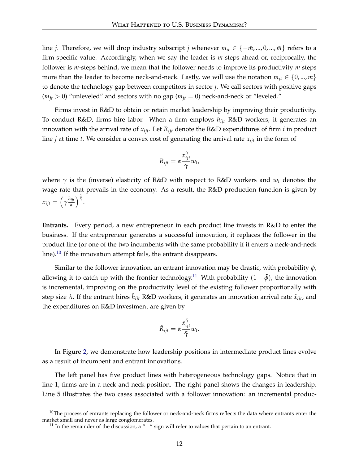line *j*. Therefore, we will drop industry subscript *j* whenever  $m_{it} \in \{-\bar{m}, ..., 0, ..., \bar{m}\}$  refers to a firm-specific value. Accordingly, when we say the leader is *m*-steps ahead or, reciprocally, the follower is *m*-steps behind, we mean that the follower needs to improve its productivity *m* steps more than the leader to become neck-and-neck. Lastly, we will use the notation  $m_{jt} \in \{0, ..., \bar{m}\}\$ to denote the technology gap between competitors in sector *j*. We call sectors with positive gaps  $(m_{it} > 0)$  "unleveled" and sectors with no gap ( $m_{it} = 0$ ) neck-and-neck or "leveled."

Firms invest in R&D to obtain or retain market leadership by improving their productivity. To conduct R&D, firms hire labor. When a firm employs *hijt* R&D workers, it generates an innovation with the arrival rate of  $x_{ijt}$ . Let  $R_{ijt}$  denote the R&D expenditures of firm *i* in product line *j* at time *t*. We consider a convex cost of generating the arrival rate  $x_{ijt}$  in the form of

$$
R_{ijt} = \alpha \frac{x_{ijt}^{\gamma}}{\gamma} w_t,
$$

where *γ* is the (inverse) elasticity of R&D with respect to R&D workers and *w<sup>t</sup>* denotes the wage rate that prevails in the economy. As a result, the R&D production function is given by  $x_{ijt} = \left(\gamma \frac{h_{ijt}}{\alpha}\right)$  $\frac{q_{ijt}}{\alpha}$  )  $\frac{1}{\gamma}$ .

**Entrants.** Every period, a new entrepreneur in each product line invests in R&D to enter the business. If the entrepreneur generates a successful innovation, it replaces the follower in the product line (or one of the two incumbents with the same probability if it enters a neck-and-neck line).[10](#page-13-0) If the innovation attempt fails, the entrant disappears.

Similar to the follower innovation, an entrant innovation may be drastic, with probability  $\tilde{\phi}$ , allowing it to catch up with the frontier technology.<sup>[11](#page-13-1)</sup> With probability  $(1 - \tilde{\phi})$ , the innovation is incremental, improving on the productivity level of the existing follower proportionally with step size  $\lambda$ . If the entrant hires  $h_{ijt}$  R&D workers, it generates an innovation arrival rate  $\tilde{x}_{ijt}$ , and the expenditures on R&D investment are given by

$$
\tilde{R}_{ijt} = \tilde{\alpha} \frac{\tilde{x}_{ijt}^{\tilde{\gamma}}}{\tilde{\gamma}} w_t.
$$

In Figure [2,](#page-14-0) we demonstrate how leadership positions in intermediate product lines evolve as a result of incumbent and entrant innovations.

The left panel has five product lines with heterogeneous technology gaps. Notice that in line 1, firms are in a neck-and-neck position. The right panel shows the changes in leadership. Line 5 illustrates the two cases associated with a follower innovation: an incremental produc-

<span id="page-13-0"></span> $10$ The process of entrants replacing the follower or neck-and-neck firms reflects the data where entrants enter the market small and never as large conglomerates.

<span id="page-13-1"></span> $11$  In the remainder of the discussion, a "  $\tilde{ }$  " sign will refer to values that pertain to an entrant.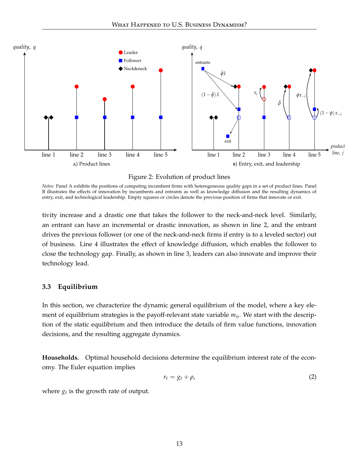<span id="page-14-0"></span>

Figure 2: Evolution of product lines

*Notes:* Panel A exhibits the positions of competing incumbent firms with heterogeneous quality gaps in a set of product lines. Panel B illustrates the effects of innovation by incumbents and entrants as well as knowledge diffusion and the resulting dynamics of entry, exit, and technological leadership. Empty squares or circles denote the previous position of firms that innovate or exit.

tivity increase and a drastic one that takes the follower to the neck-and-neck level. Similarly, an entrant can have an incremental or drastic innovation, as shown in line 2, and the entrant drives the previous follower (or one of the neck-and-neck firms if entry is to a leveled sector) out of business. Line 4 illustrates the effect of knowledge diffusion, which enables the follower to close the technology gap. Finally, as shown in line 3, leaders can also innovate and improve their technology lead.

### **3.3 Equilibrium**

In this section, we characterize the dynamic general equilibrium of the model, where a key element of equilibrium strategies is the payoff-relevant state variable *mit*. We start with the description of the static equilibrium and then introduce the details of firm value functions, innovation decisions, and the resulting aggregate dynamics.

**Households.** Optimal household decisions determine the equilibrium interest rate of the economy. The Euler equation implies

$$
r_t = g_t + \rho,\tag{2}
$$

where  $g_t$  is the growth rate of output.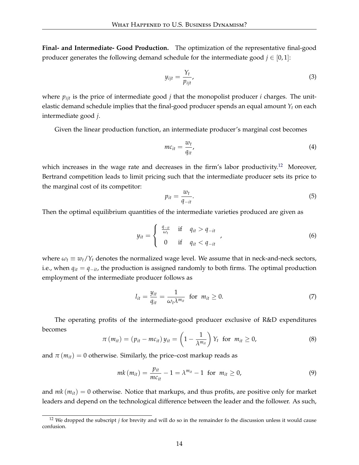**Final- and Intermediate- Good Production.** The optimization of the representative final-good producer generates the following demand schedule for the intermediate good  $j \in [0,1]$ :

<span id="page-15-1"></span>
$$
y_{ijt} = \frac{Y_t}{p_{ijt}},\tag{3}
$$

where  $p_{ijt}$  is the price of intermediate good *j* that the monopolist producer *i* charges. The unitelastic demand schedule implies that the final-good producer spends an equal amount *Y<sup>t</sup>* on each intermediate good *j*.

Given the linear production function, an intermediate producer's marginal cost becomes

$$
mc_{it} = \frac{w_t}{q_{it}},\tag{4}
$$

which increases in the wage rate and decreases in the firm's labor productivity.<sup>[12](#page-15-0)</sup> Moreover, Bertrand competition leads to limit pricing such that the intermediate producer sets its price to the marginal cost of its competitor:

<span id="page-15-2"></span>
$$
p_{it} = \frac{w_t}{q_{-it}}.\tag{5}
$$

Then the optimal equilibrium quantities of the intermediate varieties produced are given as

$$
y_{it} = \begin{cases} \frac{q_{-it}}{\omega_t} & \text{if } q_{it} > q_{-it} \\ 0 & \text{if } q_{it} < q_{-it} \end{cases}, \qquad (6)
$$

where  $\omega_t \equiv w_t/Y_t$  denotes the normalized wage level. We assume that in neck-and-neck sectors, i.e., when  $q_{it} = q_{-it}$ , the production is assigned randomly to both firms. The optimal production employment of the intermediate producer follows as

<span id="page-15-3"></span>
$$
l_{it} = \frac{y_{it}}{q_{it}} = \frac{1}{\omega_t \lambda^{m_{it}}} \text{ for } m_{it} \ge 0.
$$
 (7)

The operating profits of the intermediate-good producer exclusive of R&D expenditures becomes

$$
\pi(m_{it}) = (p_{it} - mc_{it}) y_{it} = \left(1 - \frac{1}{\lambda^{m_{it}}}\right) Y_t \text{ for } m_{it} \ge 0,
$$
\n(8)

and  $\pi$  ( $m_{it}$ ) = 0 otherwise. Similarly, the price–cost markup reads as

$$
mk(m_{it}) = \frac{p_{it}}{mc_{it}} - 1 = \lambda^{m_{it}} - 1 \text{ for } m_{it} \ge 0,
$$
 (9)

and  $mk$  ( $m_{it}$ ) = 0 otherwise. Notice that markups, and thus profits, are positive only for market leaders and depend on the technological difference between the leader and the follower. As such,

<span id="page-15-0"></span><sup>12</sup> We dropped the subscript *j* for brevity and will do so in the remainder fo the discussion unless it would cause confusion.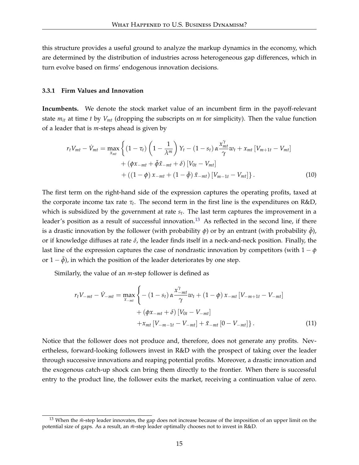this structure provides a useful ground to analyze the markup dynamics in the economy, which are determined by the distribution of industries across heterogeneous gap differences, which in turn evolve based on firms' endogenous innovation decisions.

### **3.3.1 Firm Values and Innovation**

**Incumbents.** We denote the stock market value of an incumbent firm in the payoff-relevant state  $m_{it}$  at time *t* by  $V_{mt}$  (dropping the subscripts on  $m$  for simplicity). Then the value function of a leader that is *m*-steps ahead is given by

$$
r_t V_{mt} - \dot{V}_{mt} = \max_{x_{mt}} \left\{ (1 - \tau_t) \left( 1 - \frac{1}{\lambda^m} \right) Y_t - (1 - s_t) \alpha \frac{x_{mt}^{\gamma}}{\gamma} w_t + x_{mt} \left[ V_{m+1t} - V_{mt} \right] + \left( \phi x_{-mt} + \tilde{\phi} \tilde{x}_{-mt} + \delta \right) \left[ V_{0t} - V_{mt} \right] + \left( (1 - \phi) x_{-mt} + (1 - \tilde{\phi}) \tilde{x}_{-mt} \right) \left[ V_{m-1t} - V_{mt} \right] \right\}.
$$
 (10)

The first term on the right-hand side of the expression captures the operating profits, taxed at the corporate income tax rate *τ<sup>t</sup>* . The second term in the first line is the expenditures on R&D, which is subsidized by the government at rate *s<sup>t</sup>* . The last term captures the improvement in a leader's position as a result of successful innovation.<sup>[13](#page-16-0)</sup> As reflected in the second line, if there is a drastic innovation by the follower (with probability  $\phi$ ) or by an entrant (with probability  $\tilde{\phi}$ ), or if knowledge diffuses at rate *δ*, the leader finds itself in a neck-and-neck position. Finally, the last line of the expression captures the case of nondrastic innovation by competitors (with  $1 - \phi$ or  $1 - \tilde{\phi}$ ), in which the position of the leader deteriorates by one step.

Similarly, the value of an *m*-step follower is defined as

$$
r_t V_{-mt} - \dot{V}_{-mt} = \max_{x_{-mt}} \left\{ -(1 - s_t) \alpha \frac{x_{-mt}^{\gamma}}{\gamma} w_t + (1 - \phi) x_{-mt} [V_{-m+1t} - V_{-mt}] + (\phi x_{-mt} + \delta) [V_{0t} - V_{-mt}] + x_{mt} [V_{-m-1t} - V_{-mt}] + \tilde{x}_{-mt} [0 - V_{-mt}] \right\}.
$$
\n(11)

Notice that the follower does not produce and, therefore, does not generate any profits. Nevertheless, forward-looking followers invest in R&D with the prospect of taking over the leader through successive innovations and reaping potential profits. Moreover, a drastic innovation and the exogenous catch-up shock can bring them directly to the frontier. When there is successful entry to the product line, the follower exits the market, receiving a continuation value of zero.

<span id="page-16-0"></span> $13$  When the  $\bar{m}$ -step leader innovates, the gap does not increase because of the imposition of an upper limit on the potential size of gaps. As a result, an  $\bar{m}$ -step leader optimally chooses not to invest in R&D.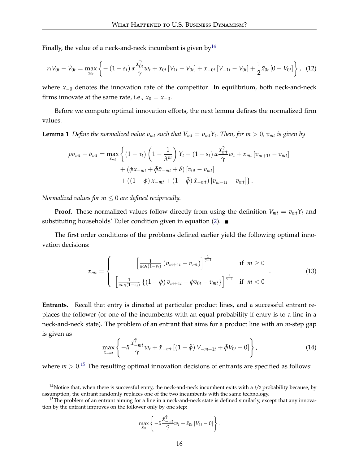Finally, the value of a neck-and-neck incumbent is given by  $14$ 

$$
r_t V_{0t} - \dot{V}_{0t} = \max_{x_{0t}} \left\{ -\left(1 - s_t\right) \alpha \frac{x_{0t}^{\gamma}}{\gamma} w_t + x_{0t} \left[V_{1t} - V_{0t}\right] + x_{-0t} \left[V_{-1t} - V_{0t}\right] + \frac{1}{2} \tilde{x}_{0t} \left[0 - V_{0t}\right] \right\}, \tag{12}
$$

where *x*<sub>−0</sub> denotes the innovation rate of the competitor. In equilibrium, both neck-and-neck firms innovate at the same rate, i.e.,  $x_0 = x_{-0}$ .

Before we compute optimal innovation efforts, the next lemma defines the normalized firm values.

**Lemma 1** Define the normalized value  $v_{mt}$  such that  $V_{mt} = v_{mt}Y_t$ . Then, for  $m > 0$ ,  $v_{mt}$  is given by

$$
\rho v_{mt} - \dot{v}_{mt} = \max_{x_{mt}} \left\{ (1 - \tau_t) \left( 1 - \frac{1}{\lambda^m} \right) Y_t - (1 - s_t) \alpha \frac{x_{mt}^{\gamma}}{\gamma} w_t + x_{mt} \left[ v_{m+1t} - v_{mt} \right] + \left( \phi x_{-mt} + \tilde{\phi} \tilde{x}_{-mt} + \delta \right) \left[ v_{0t} - v_{mt} \right] + \left( (1 - \phi) x_{-mt} + (1 - \tilde{\phi}) \tilde{x}_{-mt} \right) \left[ v_{m-1t} - v_{mt} \right] \right\}.
$$

*Normalized values for*  $m \leq 0$  *are defined reciprocally.* 

**Proof.** These normalized values follow directly from using the definition  $V_{mt} = v_{mt}Y_t$  and substituting households' Euler condition given in equation [\(2\)](#page-12-1).

The first order conditions of the problems defined earlier yield the following optimal innovation decisions:

<span id="page-17-2"></span>
$$
x_{mt} = \begin{cases} \left[\frac{1}{\alpha\omega_t(1-s_t)}(v_{m+1t} - v_{mt})\right]^{\frac{1}{\gamma-1}} & \text{if } m \ge 0\\ \left[\frac{1}{\alpha\omega_t(1-s_t)}\left\{(1-\phi)v_{m+1t} + \phi v_{0t} - v_{mt}\right\}\right]^{\frac{1}{\gamma-1}} & \text{if } m < 0 \end{cases}
$$
(13)

**Entrants.** Recall that entry is directed at particular product lines, and a successful entrant replaces the follower (or one of the incumbents with an equal probability if entry is to a line in a neck-and-neck state). The problem of an entrant that aims for a product line with an *m*-step gap is given as

$$
\max_{\tilde{x}_{-mt}} \left\{ -\tilde{\alpha} \frac{\tilde{x}_{-mt}^{\tilde{\gamma}}}{\tilde{\gamma}} w_t + \tilde{x}_{-mt} \left[ (1 - \tilde{\phi}) V_{-m+1t} + \tilde{\phi} V_{0t} - 0 \right] \right\},
$$
\n(14)

where  $m > 0.15$  $m > 0.15$  The resulting optimal innovation decisions of entrants are specified as follows:

$$
\max_{\tilde{x}_{0t}} \left\{-\tilde{\alpha} \frac{\tilde{x}^{\tilde{\gamma}}_{-mt}}{\tilde{\gamma}} w_t + \tilde{x}_{0t} \left[V_{1t} - 0\right] \right\}.
$$

<span id="page-17-0"></span> $14$ Notice that, when there is successful entry, the neck-and-neck incumbent exits with a  $1/2$  probability because, by assumption, the entrant randomly replaces one of the two incumbents with the same technology.

<span id="page-17-1"></span> $15$ The problem of an entrant aiming for a line in a neck-and-neck state is defined similarly, except that any innovation by the entrant improves on the follower only by one step: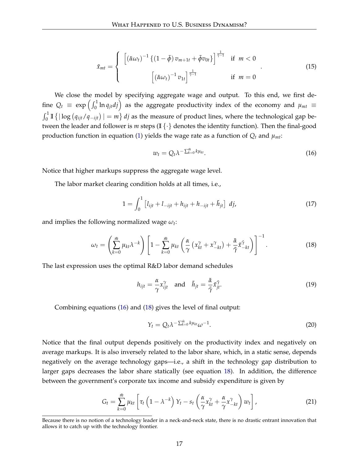<span id="page-18-2"></span>
$$
\tilde{x}_{mt} = \begin{cases}\n\left[ (\tilde{\alpha}\omega_t)^{-1} \left\{ (1 - \tilde{\phi}) v_{m+1t} + \tilde{\phi} v_{0t} \right\} \right]^{\frac{1}{\tilde{\gamma}-1}} & \text{if } m < 0 \\
\left[ (\tilde{\alpha}\omega_t)^{-1} v_{1t} \right]^{\frac{1}{\tilde{\gamma}-1}} & \text{if } m = 0\n\end{cases}
$$
\n(15)

We close the model by specifying aggregate wage and output. To this end, we first define  $Q_t$   $\equiv$   $\exp\left(\int_0^1 \ln q_{jt} d j\right)$  as the aggregate productivity index of the economy and  $\mu_{mt}$   $\equiv$  $\int_0^1$ **I** {|log ( $q_{ijt}/q_{-ijt}$ )| = *m*} *dj* as the measure of product lines, where the technological gap between the leader and follower is *m* steps ( $\mathbb{I} \{\cdot\}$  denotes the identity function). Then the final-good production function in equation [\(1\)](#page-11-0) yields the wage rate as a function of *Q<sup>t</sup>* and *µmt*:

<span id="page-18-4"></span><span id="page-18-0"></span>
$$
w_t = Q_t \lambda^{-\sum_{k=0}^{\bar{m}} k \mu_{kt}}.
$$
\n(16)

Notice that higher markups suppress the aggregate wage level.

The labor market clearing condition holds at all times, i.e.,

$$
1 = \int_0^1 \left[ l_{ijt} + l_{-ijt} + h_{ijt} + h_{-ijt} + \tilde{h}_{jt} \right] dj,
$$
 (17)

and implies the following normalized wage *ω<sup>t</sup>* :

$$
\omega_t = \left(\sum_{k=0}^{\bar{m}} \mu_{kt} \lambda^{-k}\right) \left[1 - \sum_{k=0}^{\bar{m}} \mu_{kt} \left(\frac{\alpha}{\gamma} \left(x_{kt}^{\gamma} + x_{-kt}^{\gamma}\right) + \frac{\tilde{\alpha}}{\tilde{\gamma}} \tilde{x}_{-kt}^{\tilde{\gamma}}\right)\right]^{-1}.\tag{18}
$$

The last expression uses the optimal R&D labor demand schedules

<span id="page-18-3"></span><span id="page-18-1"></span>
$$
h_{ijt} = \frac{\alpha}{\gamma} x_{ijt}^{\gamma} \quad \text{and} \quad \tilde{h}_{jt} = \frac{\tilde{\alpha}}{\tilde{\gamma}} \tilde{x}_{jt}^{\tilde{\gamma}}.
$$
 (19)

Combining equations [\(16\)](#page-18-0) and [\(18\)](#page-18-1) gives the level of final output:

<span id="page-18-5"></span>
$$
Y_t = Q_t \lambda^{-\sum_{k=0}^{\bar{m}} k \mu_{kt}} \omega^{-1}.
$$
\n
$$
(20)
$$

Notice that the final output depends positively on the productivity index and negatively on average markups. It is also inversely related to the labor share, which, in a static sense, depends negatively on the average technology gaps—i.e., a shift in the technology gap distribution to larger gaps decreases the labor share statically (see equation [18\)](#page-18-1). In addition, the difference between the government's corporate tax income and subsidy expenditure is given by

<span id="page-18-6"></span>
$$
G_t = \sum_{k=0}^{\bar{m}} \mu_{kt} \left[ \tau_t \left( 1 - \lambda^{-k} \right) Y_t - s_t \left( \frac{\alpha}{\gamma} x_{kt}^{\gamma} + \frac{\alpha}{\gamma} x_{-kt}^{\gamma} \right) w_t \right],
$$
 (21)

Because there is no notion of a technology leader in a neck-and-neck state, there is no drastic entrant innovation that allows it to catch up with the technology frontier.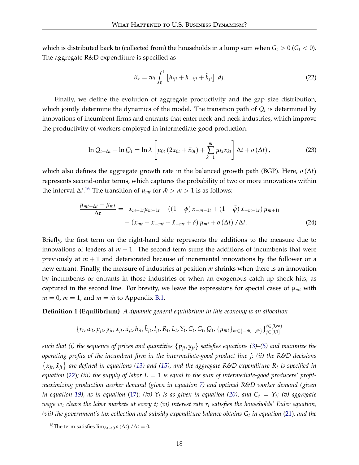which is distributed back to (collected from) the households in a lump sum when  $G_t > 0$  ( $G_t < 0$ ). The aggregate R&D expenditure is specified as

<span id="page-19-3"></span><span id="page-19-2"></span><span id="page-19-1"></span>
$$
R_t = w_t \int_0^1 \left[ h_{ijt} + h_{-ijt} + \tilde{h}_{jt} \right] \, dj. \tag{22}
$$

Finally, we define the evolution of aggregate productivity and the gap size distribution, which jointly determine the dynamics of the model. The transition path of  $Q_t$  is determined by innovations of incumbent firms and entrants that enter neck-and-neck industries, which improve the productivity of workers employed in intermediate-good production:

$$
\ln Q_{t+\Delta t} - \ln Q_t = \ln \lambda \left[ \mu_{0t} \left( 2x_{0t} + \tilde{x}_{0t} \right) + \sum_{k=1}^{\bar{m}} \mu_{kt} x_{kt} \right] \Delta t + o\left( \Delta t \right), \tag{23}
$$

which also defines the aggregate growth rate in the balanced growth path (BGP). Here, *o* (∆*t*) represents second-order terms, which captures the probability of two or more innovations within the interval Δ*t*.<sup>[16](#page-19-0)</sup> The transition of  $μ<sub>mt</sub>$  for  $\bar{m} > m > 1$  is as follows:

$$
\frac{\mu_{mt+\Delta t} - \mu_{mt}}{\Delta t} = x_{m-1t}\mu_{m-1t} + ((1 - \phi) x_{-m-1t} + (1 - \tilde{\phi}) \tilde{x}_{-m-1t}) \mu_{m+1t} - (x_{mt} + x_{-mt} + \tilde{x}_{-mt} + \delta) \mu_{mt} + o(\Delta t) / \Delta t.
$$
 (24)

Briefly, the first term on the right-hand side represents the additions to the measure due to innovations of leaders at *m* − 1. The second term sums the additions of incumbents that were previously at  $m + 1$  and deteriorated because of incremental innovations by the follower or a new entrant. Finally, the measure of industries at position *m* shrinks when there is an innovation by incumbents or entrants in those industries or when an exogenous catch-up shock hits, as captured in the second line. For brevity, we leave the expressions for special cases of  $\mu_{mt}$  with  $m = 0$ ,  $m = 1$ , and  $m = \overline{m}$  to Appendix [B.1.](#page-60-0)

**Definition 1 (Equilibrium)** *A dynamic general equilibrium in this economy is an allocation*

$$
\{r_t, w_t, p_{jt}, y_{jt}, x_{jt}, \tilde{x}_{jt}, h_{jt}, \tilde{h}_{jt}, l_{jt}, R_t, L_t, Y_t, C_t, G_t, Q_t, \{\mu_{mt}\}_{m \in \{-\bar{m}, \ldots, \bar{m}\}}\}_{j \in [0,1]}^{t \in [0,\infty)}
$$

*such that (i) the sequence of prices and quantities*  $\{p_{it}, y_{it}\}$  *satisfies equations [\(3\)](#page-15-1)–[\(5\)](#page-15-2) and maximize the operating profits of the incumbent firm in the intermediate-good product line j; (ii) the R&D decisions*  $\{x_{jt}, \tilde{x}_{jt}\}\$  are defined in equations [\(13\)](#page-17-2) and [\(15\)](#page-18-2), and the aggregate R&D expenditure R<sub>t</sub> is specified in *equation* [\(22\)](#page-19-1); (*iii*) the supply of labor  $L = 1$  is equal to the sum of intermediate-good producers' profit*maximizing production worker demand (given in equation [7\)](#page-15-3) and optimal R&D worker demand (given in equation [19\)](#page-18-3), as in equation [\(17\)](#page-18-4); (iv)*  $Y_t$  *is as given in equation [\(20\)](#page-18-5), and*  $C_t\,=\,Y_t$ *; (v) aggregate wage w<sup>t</sup> clears the labor markets at every t; (vi) interest rate r<sup>t</sup> satisfies the households' Euler equation; (vii) the government's tax collection and subsidy expenditure balance obtains G<sup>t</sup> in equation* [\(21\)](#page-18-6)*, and the*

<span id="page-19-0"></span><sup>&</sup>lt;sup>16</sup>The term satisfies  $\lim_{\Delta t \to 0} o(\Delta t) / \Delta t = 0$ .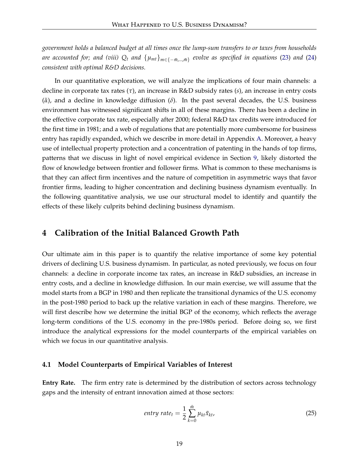*government holds a balanced budget at all times once the lump-sum transfers to or taxes from households are accounted for; and (viii)*  $Q_t$  *and*  $\{\mu_{mt}\}_{m\in\{-\bar{m},..., \bar{m}\}}$  *evolve as specified in equations [\(23\)](#page-19-2) and [\(24\)](#page-19-3) consistent with optimal R&D decisions.*

In our quantitative exploration, we will analyze the implications of four main channels: a decline in corporate tax rates (*τ*), an increase in R&D subsidy rates (*s*), an increase in entry costs  $(α)$ , and a decline in knowledge diffusion  $(δ)$ . In the past several decades, the U.S. business environment has witnessed significant shifts in all of these margins. There has been a decline in the effective corporate tax rate, especially after 2000; federal R&D tax credits were introduced for the first time in 1981; and a web of regulations that are potentially more cumbersome for business entry has rapidly expanded, which we describe in more detail in Appendix [A.](#page-57-0) Moreover, a heavy use of intellectual property protection and a concentration of patenting in the hands of top firms, patterns that we discuss in light of novel empirical evidence in Section [9,](#page-45-0) likely distorted the flow of knowledge between frontier and follower firms. What is common to these mechanisms is that they can affect firm incentives and the nature of competition in asymmetric ways that favor frontier firms, leading to higher concentration and declining business dynamism eventually. In the following quantitative analysis, we use our structural model to identify and quantify the effects of these likely culprits behind declining business dynamism.

### <span id="page-20-0"></span>**4 Calibration of the Initial Balanced Growth Path**

Our ultimate aim in this paper is to quantify the relative importance of some key potential drivers of declining U.S. business dynamism. In particular, as noted previously, we focus on four channels: a decline in corporate income tax rates, an increase in R&D subsidies, an increase in entry costs, and a decline in knowledge diffusion. In our main exercise, we will assume that the model starts from a BGP in 1980 and then replicate the transitional dynamics of the U.S. economy in the post-1980 period to back up the relative variation in each of these margins. Therefore, we will first describe how we determine the initial BGP of the economy, which reflects the average long-term conditions of the U.S. economy in the pre-1980s period. Before doing so, we first introduce the analytical expressions for the model counterparts of the empirical variables on which we focus in our quantitative analysis.

### <span id="page-20-1"></span>**4.1 Model Counterparts of Empirical Variables of Interest**

**Entry Rate.** The firm entry rate is determined by the distribution of sectors across technology gaps and the intensity of entrant innovation aimed at those sectors:

$$
entry\ rate_t = \frac{1}{2} \sum_{k=0}^{\bar{m}} \mu_{kt} \tilde{x}_{kt},\tag{25}
$$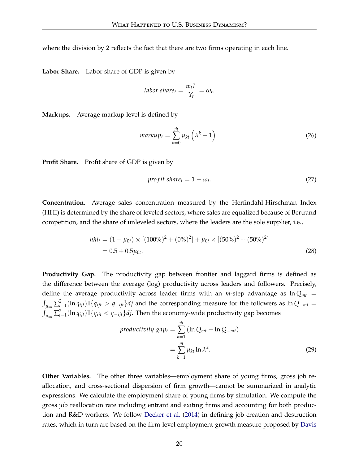where the division by 2 reflects the fact that there are two firms operating in each line.

**Labor Share.** Labor share of GDP is given by

$$
labor share_t = \frac{w_t L}{Y_t} = \omega_t.
$$

**Markups.** Average markup level is defined by

$$
markup_t = \sum_{k=0}^{\bar{m}} \mu_{kt} \left( \lambda^k - 1 \right).
$$
 (26)

**Profit Share.** Profit share of GDP is given by

$$
profit share_t = 1 - \omega_t. \tag{27}
$$

**Concentration.** Average sales concentration measured by the Herfindahl-Hirschman Index (HHI) is determined by the share of leveled sectors, where sales are equalized because of Bertrand competition, and the share of unleveled sectors, where the leaders are the sole supplier, i.e.,

$$
hhi_t = (1 - \mu_{0t}) \times [(100\%)^2 + (0\%)^2] + \mu_{0t} \times [(50\%)^2 + (50\%)^2]
$$
  
= 0.5 + 0.5 $\mu_{0t}$ . (28)

**Productivity Gap.** The productivity gap between frontier and laggard firms is defined as the difference between the average (log) productivity across leaders and followers. Precisely, define the average productivity across leader firms with an  $m$ -step advantage as  $\ln Q_{mt}$  = R *µmt* ∑ 2 *i*=1 (ln *qijt*)**I**{*qijt* > *q*−*ijt*}*dj* and the corresponding measure for the followers as ln *Q*−*mt* =  $\int_{\mu_{mt}} \sum_{i=1}^{2} (\ln q_{ijt}) \mathbb{I} \{q_{ijt} < q_{-ijt}\} df$ . Then the economy-wide productivity gap becomes

$$
productivity\ gap_t = \sum_{k=1}^{\bar{m}} (\ln Q_{mt} - \ln Q_{-mt})
$$

$$
= \sum_{k=1}^{\bar{m}} \mu_{kt} \ln \lambda^k.
$$
 (29)

**Other Variables.** The other three variables—employment share of young firms, gross job reallocation, and cross-sectional dispersion of firm growth—cannot be summarized in analytic expressions. We calculate the employment share of young firms by simulation. We compute the gross job reallocation rate including entrant and exiting firms and accounting for both production and R&D workers. We follow [Decker et al.](#page-53-12) [\(2014\)](#page-53-12) in defining job creation and destruction rates, which in turn are based on the firm-level employment-growth measure proposed by [Davis](#page-53-13)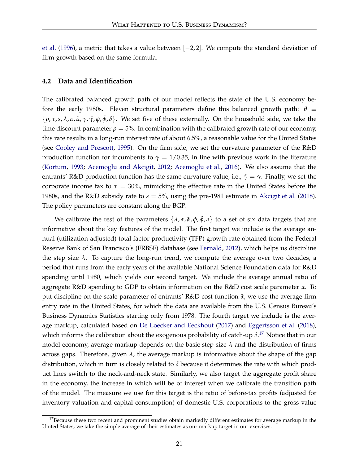[et al.](#page-53-13) [\(1996\)](#page-53-13), a metric that takes a value between [−2, 2]. We compute the standard deviation of firm growth based on the same formula.

#### <span id="page-22-1"></span>**4.2 Data and Identification**

The calibrated balanced growth path of our model reflects the state of the U.S. economy before the early 1980s. Eleven structural parameters define this balanced growth path:  $\theta \equiv$  $\{\rho, \tau, s, \lambda, \alpha, \tilde{\alpha}, \gamma, \tilde{\gamma}, \phi, \tilde{\phi}, \delta\}$ . We set five of these externally. On the household side, we take the time discount parameter  $\rho = 5\%$ . In combination with the calibrated growth rate of our economy, this rate results in a long-run interest rate of about 6.5%, a reasonable value for the United States (see [Cooley and Prescott,](#page-52-9) [1995\)](#page-52-9). On the firm side, we set the curvature parameter of the R&D production function for incumbents to  $\gamma = 1/0.35$ , in line with previous work in the literature [\(Kortum,](#page-55-12) [1993;](#page-55-12) [Acemoglu and Akcigit,](#page-51-3) [2012;](#page-51-3) [Acemoglu et al.,](#page-51-12) [2016\)](#page-51-12). We also assume that the entrants' R&D production function has the same curvature value, i.e.,  $\tilde{\gamma} = \gamma$ . Finally, we set the corporate income tax to  $\tau = 30\%$ , mimicking the effective rate in the United States before the 1980s, and the R&D subsidy rate to  $s = 5\%$ , using the pre-1981 estimate in [Akcigit et al.](#page-51-4) [\(2018\)](#page-51-4). The policy parameters are constant along the BGP.

We calibrate the rest of the parameters  $\{\lambda, \alpha, \tilde{\alpha}, \varphi, \tilde{\phi}, \delta\}$  to a set of six data targets that are informative about the key features of the model. The first target we include is the average annual (utilization-adjusted) total factor productivity (TFP) growth rate obtained from the Federal Reserve Bank of San Francisco's (FRBSF) database (see [Fernald,](#page-54-14) [2012\)](#page-54-14), which helps us discipline the step size  $\lambda$ . To capture the long-run trend, we compute the average over two decades, a period that runs from the early years of the available National Science Foundation data for R&D spending until 1980, which yields our second target. We include the average annual ratio of aggregate R&D spending to GDP to obtain information on the R&D cost scale parameter *α*. To put discipline on the scale parameter of entrants' R&D cost function *α*˜, we use the average firm entry rate in the United States, for which the data are available from the U.S. Census Bureau's Business Dynamics Statistics starting only from 1978. The fourth target we include is the average markup, calculated based on [De Loecker and Eeckhout](#page-53-0) [\(2017\)](#page-53-0) and [Eggertsson et al.](#page-53-1) [\(2018\)](#page-53-1), which informs the calibration about the exogenous probability of catch-up *δ*. [17](#page-22-0) Notice that in our model economy, average markup depends on the basic step size  $\lambda$  and the distribution of firms across gaps. Therefore, given  $\lambda$ , the average markup is informative about the shape of the gap distribution, which in turn is closely related to *δ* because it determines the rate with which product lines switch to the neck-and-neck state. Similarly, we also target the aggregate profit share in the economy, the increase in which will be of interest when we calibrate the transition path of the model. The measure we use for this target is the ratio of before-tax profits (adjusted for inventory valuation and capital consumption) of domestic U.S. corporations to the gross value

<span id="page-22-0"></span> $17$ Because these two recent and prominent studies obtain markedly different estimates for average markup in the United States, we take the simple average of their estimates as our markup target in our exercises.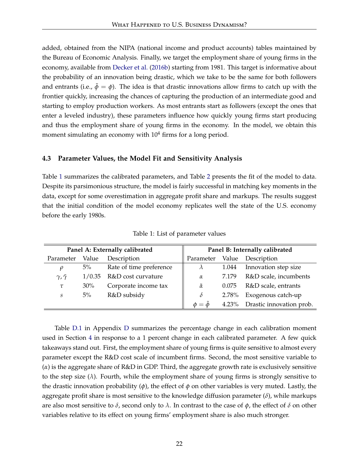added, obtained from the NIPA (national income and product accounts) tables maintained by the Bureau of Economic Analysis. Finally, we target the employment share of young firms in the economy, available from [Decker et al.](#page-53-8) [\(2016b\)](#page-53-8) starting from 1981. This target is informative about the probability of an innovation being drastic, which we take to be the same for both followers and entrants (i.e.,  $\tilde{\phi} = \phi$ ). The idea is that drastic innovations allow firms to catch up with the frontier quickly, increasing the chances of capturing the production of an intermediate good and starting to employ production workers. As most entrants start as followers (except the ones that enter a leveled industry), these parameters influence how quickly young firms start producing and thus the employment share of young firms in the economy. In the model, we obtain this moment simulating an economy with  $10<sup>4</sup>$  firms for a long period.

### <span id="page-23-1"></span>**4.3 Parameter Values, the Model Fit and Sensitivity Analysis**

Table [1](#page-23-0) summarizes the calibrated parameters, and Table [2](#page-24-1) presents the fit of the model to data. Despite its parsimonious structure, the model is fairly successful in matching key moments in the data, except for some overestimation in aggregate profit share and markups. The results suggest that the initial condition of the model economy replicates well the state of the U.S. economy before the early 1980s.

<span id="page-23-0"></span>

| Panel A: Externally calibrated |        |                         | Panel B: Internally calibrated |       |                                |  |
|--------------------------------|--------|-------------------------|--------------------------------|-------|--------------------------------|--|
| Parameter                      | Value  | Description             | Parameter                      | Value | Description                    |  |
| $\rho$                         | $5\%$  | Rate of time preference | $\lambda$                      | 1.044 | Innovation step size           |  |
| $\gamma$ , $\tilde{\gamma}$    | 1/0.35 | R&D cost curvature      | $\alpha$                       | 7.179 | R&D scale, incumbents          |  |
| τ                              | $30\%$ | Corporate income tax    | $\tilde{\alpha}$               | 0.075 | R&D scale, entrants            |  |
| S                              | $5\%$  | R&D subsidy             | $\delta$                       | 2.78% | Exogenous catch-up             |  |
|                                |        |                         | $\phi = \phi$                  |       | 4.23% Drastic innovation prob. |  |

Table 1: List of parameter values

Table [D.1](#page-62-0) in Appendix [D](#page-62-1) summarizes the percentage change in each calibration moment used in Section [4](#page-20-0) in response to a 1 percent change in each calibrated parameter. A few quick takeaways stand out. First, the employment share of young firms is quite sensitive to almost every parameter except the R&D cost scale of incumbent firms. Second, the most sensitive variable to (*α*) is the aggregate share of R&D in GDP. Third, the aggregate growth rate is exclusively sensitive to the step size (*λ*). Fourth, while the employment share of young firms is strongly sensitive to the drastic innovation probability (*φ*), the effect of *φ* on other variables is very muted. Lastly, the aggregate profit share is most sensitive to the knowledge diffusion parameter (*δ*), while markups are also most sensitive to *δ*, second only to *λ*. In contrast to the case of *φ*, the effect of *δ* on other variables relative to its effect on young firms' employment share is also much stronger.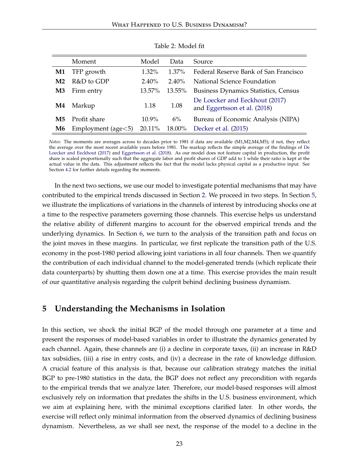<span id="page-24-1"></span>

|                | Moment             | Model    | Data     | Source                                                         |
|----------------|--------------------|----------|----------|----------------------------------------------------------------|
| M1             | TFP growth         | 1.32%    | $1.37\%$ | Federal Reserve Bank of San Francisco                          |
| M <sub>2</sub> | R&D to GDP         | $2.40\%$ | $2.40\%$ | National Science Foundation                                    |
| M <sub>3</sub> | Firm entry         | 13.57%   | 13.55%   | <b>Business Dynamics Statistics, Census</b>                    |
| M4             | Markup             | 1.18     | 1.08     | De Loecker and Eeckhout (2017)<br>and Eggertsson et al. (2018) |
| M5             | Profit share       | $10.9\%$ | 6%       | Bureau of Economic Analysis (NIPA)                             |
| M6             | Employment (age<5) | 20.11%   | 18.00%   | Decker et al. (2015)                                           |

Table 2: Model fit

*Notes:* The moments are averages across to decades prior to 1981 if data are available (M1,M2,M4,M5); if not, they reflect the average over the most recent available years before 1981. The markup reflects the simple average of the findings of [De](#page-53-0) [Loecker and Eeckhout](#page-53-0) [\(2017\)](#page-53-0) and [Eggertsson et al.](#page-53-1) [\(2018\)](#page-53-1). As our model does not feature capital in production, the profit share is scaled proportionally such that the aggregate labor and profit shares of GDP add to 1 while their ratio is kept at the actual value in the data. This adjustment reflects the fact that the model lacks physical capital as a productive input. See Section [4.2](#page-22-1) for further details regarding the moments.

In the next two sections, we use our model to investigate potential mechanisms that may have contributed to the empirical trends discussed in Section [2.](#page-6-0) We proceed in two steps. In Section [5,](#page-24-0) we illustrate the implications of variations in the channels of interest by introducing shocks one at a time to the respective parameters governing those channels. This exercise helps us understand the relative ability of different margins to account for the observed empirical trends and the underlying dynamics. In Section [6,](#page-29-0) we turn to the analysis of the transition path and focus on the joint moves in these margins. In particular, we first replicate the transition path of the U.S. economy in the post-1980 period allowing joint variations in all four channels. Then we quantify the contribution of each individual channel to the model-generated trends (which replicate their data counterparts) by shutting them down one at a time. This exercise provides the main result of our quantitative analysis regarding the culprit behind declining business dynamism.

### <span id="page-24-0"></span>**5 Understanding the Mechanisms in Isolation**

In this section, we shock the initial BGP of the model through one parameter at a time and present the responses of model-based variables in order to illustrate the dynamics generated by each channel. Again, these channels are (i) a decline in corporate taxes, (ii) an increase in R&D tax subsidies, (iii) a rise in entry costs, and (iv) a decrease in the rate of knowledge diffusion. A crucial feature of this analysis is that, because our calibration strategy matches the initial BGP to pre-1980 statistics in the data, the BGP does not reflect any precondition with regards to the empirical trends that we analyze later. Therefore, our model-based responses will almost exclusively rely on information that predates the shifts in the U.S. business environment, which we aim at explaining here, with the minimal exceptions clarified later. In other words, the exercise will reflect only minimal information from the observed dynamics of declining business dynamism. Nevertheless, as we shall see next, the response of the model to a decline in the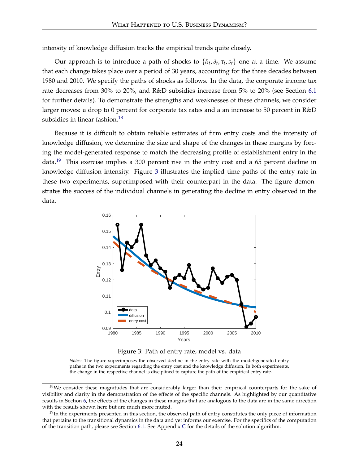intensity of knowledge diffusion tracks the empirical trends quite closely.

Our approach is to introduce a path of shocks to  $\{\tilde{\alpha}_t, \delta_t, \tau_t, s_t\}$  one at a time. We assume that each change takes place over a period of 30 years, accounting for the three decades between 1980 and 2010. We specify the paths of shocks as follows. In the data, the corporate income tax rate decreases from 30% to 20%, and R&D subsidies increase from 5% to 20% (see Section [6.1](#page-30-0) for further details). To demonstrate the strengths and weaknesses of these channels, we consider larger moves: a drop to 0 percent for corporate tax rates and a an increase to 50 percent in R&D subsidies in linear fashion.<sup>[18](#page-25-0)</sup>

Because it is difficult to obtain reliable estimates of firm entry costs and the intensity of knowledge diffusion, we determine the size and shape of the changes in these margins by forcing the model-generated response to match the decreasing profile of establishment entry in the data.<sup>[19](#page-25-1)</sup> This exercise implies a 300 percent rise in the entry cost and a 65 percent decline in knowledge diffusion intensity. Figure [3](#page-25-2) illustrates the implied time paths of the entry rate in these two experiments, superimposed with their counterpart in the data. The figure demonstrates the success of the individual channels in generating the decline in entry observed in the data.

<span id="page-25-2"></span>

Figure 3: Path of entry rate, model vs. data

*Notes:* The figure superimposes the observed decline in the entry rate with the model-generated entry paths in the two experiments regarding the entry cost and the knowledge diffusion. In both experiments, the change in the respective channel is disciplined to capture the path of the empirical entry rate.

<span id="page-25-0"></span><sup>&</sup>lt;sup>18</sup>We consider these magnitudes that are considerably larger than their empirical counterparts for the sake of visibility and clarity in the demonstration of the effects of the specific channels. As highlighted by our quantitative results in Section [6,](#page-29-0) the effects of the changes in these margins that are analogous to the data are in the same direction with the results shown here but are much more muted.

<span id="page-25-1"></span> $19$ In the experiments presented in this section, the observed path of entry constitutes the only piece of information that pertains to the transitional dynamics in the data and yet informs our exercise. For the specifics of the computation of the transition path, please see Section [6.1.](#page-30-0) See Appendix [C](#page-60-1) for the details of the solution algorithm.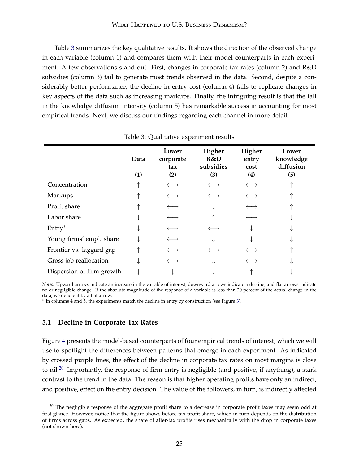Table [3](#page-26-0) summarizes the key qualitative results. It shows the direction of the observed change in each variable (column 1) and compares them with their model counterparts in each experiment. A few observations stand out. First, changes in corporate tax rates (column 2) and R&D subsidies (column 3) fail to generate most trends observed in the data. Second, despite a considerably better performance, the decline in entry cost (column 4) fails to replicate changes in key aspects of the data such as increasing markups. Finally, the intriguing result is that the fall in the knowledge diffusion intensity (column 5) has remarkable success in accounting for most empirical trends. Next, we discuss our findings regarding each channel in more detail.

<span id="page-26-0"></span>

|                           | Data<br>(1) | Lower<br>corporate<br>tax<br>(2) | Higher<br>R&D<br>subsidies<br>(3) | Higher<br>entry<br>cost<br>(4) | Lower<br>knowledge<br>diffusion<br>(5) |
|---------------------------|-------------|----------------------------------|-----------------------------------|--------------------------------|----------------------------------------|
| Concentration             |             | $\longleftrightarrow$            | $\longleftrightarrow$             | $\longleftrightarrow$          |                                        |
| Markups                   |             |                                  |                                   |                                |                                        |
| Profit share              |             | $\longleftrightarrow$            |                                   | $\longleftrightarrow$          |                                        |
| Labor share               |             |                                  |                                   |                                |                                        |
| $Entry*$                  |             |                                  |                                   |                                |                                        |
| Young firms' empl. share  |             |                                  |                                   |                                |                                        |
| Frontier vs. laggard gap  |             |                                  |                                   |                                |                                        |
| Gross job reallocation    |             |                                  |                                   |                                |                                        |
| Dispersion of firm growth |             |                                  |                                   |                                |                                        |

### Table 3: Qualitative experiment results

*Notes:* Upward arrows indicate an increase in the variable of interest, downward arrows indicate a decline, and flat arrows indicate no or negligible change. If the absolute magnitude of the response of a variable is less than 20 percent of the actual change in the data, we denote it by a flat arrow.

∗ In columns 4 and 5, the experiments match the decline in entry by construction (see Figure [3\)](#page-25-2).

### **5.1 Decline in Corporate Tax Rates**

Figure [4](#page-27-0) presents the model-based counterparts of four empirical trends of interest, which we will use to spotlight the differences between patterns that emerge in each experiment. As indicated by crossed purple lines, the effect of the decline in corporate tax rates on most margins is close to nil.<sup>[20](#page-26-1)</sup> Importantly, the response of firm entry is negligible (and positive, if anything), a stark contrast to the trend in the data. The reason is that higher operating profits have only an indirect, and positive, effect on the entry decision. The value of the followers, in turn, is indirectly affected

<span id="page-26-1"></span> $20$  The negligible response of the aggregate profit share to a decrease in corporate profit taxes may seem odd at first glance. However, notice that the figure shows before-tax profit share, which in turn depends on the distribution of firms across gaps. As expected, the share of after-tax profits rises mechanically with the drop in corporate taxes (not shown here).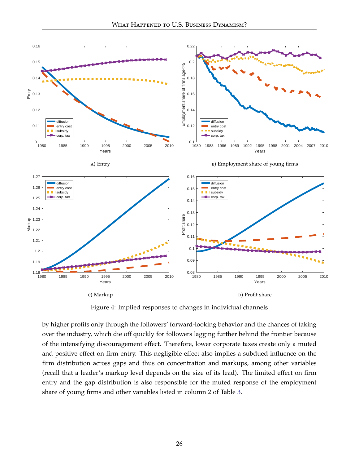<span id="page-27-1"></span><span id="page-27-0"></span>

Figure 4: Implied responses to changes in individual channels

by higher profits only through the followers' forward-looking behavior and the chances of taking over the industry, which die off quickly for followers lagging further behind the frontier because of the intensifying discouragement effect. Therefore, lower corporate taxes create only a muted and positive effect on firm entry. This negligible effect also implies a subdued influence on the firm distribution across gaps and thus on concentration and markups, among other variables (recall that a leader's markup level depends on the size of its lead). The limited effect on firm entry and the gap distribution is also responsible for the muted response of the employment share of young firms and other variables listed in column 2 of Table [3.](#page-26-0)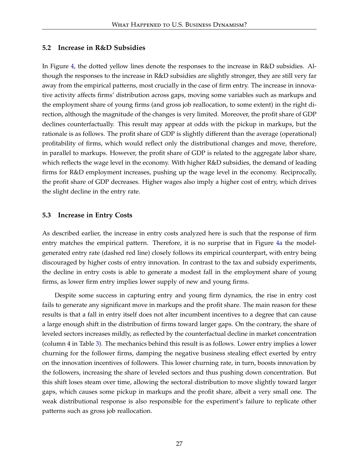### **5.2 Increase in R&D Subsidies**

In Figure [4,](#page-27-0) the dotted yellow lines denote the responses to the increase in R&D subsidies. Although the responses to the increase in R&D subsidies are slightly stronger, they are still very far away from the empirical patterns, most crucially in the case of firm entry. The increase in innovative activity affects firms' distribution across gaps, moving some variables such as markups and the employment share of young firms (and gross job reallocation, to some extent) in the right direction, although the magnitude of the changes is very limited. Moreover, the profit share of GDP declines counterfactually. This result may appear at odds with the pickup in markups, but the rationale is as follows. The profit share of GDP is slightly different than the average (operational) profitability of firms, which would reflect only the distributional changes and move, therefore, in parallel to markups. However, the profit share of GDP is related to the aggregate labor share, which reflects the wage level in the economy. With higher R&D subsidies, the demand of leading firms for R&D employment increases, pushing up the wage level in the economy. Reciprocally, the profit share of GDP decreases. Higher wages also imply a higher cost of entry, which drives the slight decline in the entry rate.

### **5.3 Increase in Entry Costs**

As described earlier, the increase in entry costs analyzed here is such that the response of firm entry matches the empirical pattern. Therefore, it is no surprise that in Figure [4a](#page-27-1) the modelgenerated entry rate (dashed red line) closely follows its empirical counterpart, with entry being discouraged by higher costs of entry innovation. In contrast to the tax and subsidy experiments, the decline in entry costs is able to generate a modest fall in the employment share of young firms, as lower firm entry implies lower supply of new and young firms.

Despite some success in capturing entry and young firm dynamics, the rise in entry cost fails to generate any significant move in markups and the profit share. The main reason for these results is that a fall in entry itself does not alter incumbent incentives to a degree that can cause a large enough shift in the distribution of firms toward larger gaps. On the contrary, the share of leveled sectors increases mildly, as reflected by the counterfactual decline in market concentration (column 4 in Table [3\)](#page-26-0). The mechanics behind this result is as follows. Lower entry implies a lower churning for the follower firms, damping the negative business stealing effect exerted by entry on the innovation incentives of followers. This lower churning rate, in turn, boosts innovation by the followers, increasing the share of leveled sectors and thus pushing down concentration. But this shift loses steam over time, allowing the sectoral distribution to move slightly toward larger gaps, which causes some pickup in markups and the profit share, albeit a very small one. The weak distributional response is also responsible for the experiment's failure to replicate other patterns such as gross job reallocation.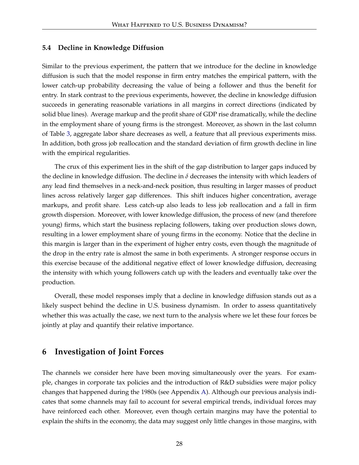### **5.4 Decline in Knowledge Diffusion**

Similar to the previous experiment, the pattern that we introduce for the decline in knowledge diffusion is such that the model response in firm entry matches the empirical pattern, with the lower catch-up probability decreasing the value of being a follower and thus the benefit for entry. In stark contrast to the previous experiments, however, the decline in knowledge diffusion succeeds in generating reasonable variations in all margins in correct directions (indicated by solid blue lines). Average markup and the profit share of GDP rise dramatically, while the decline in the employment share of young firms is the strongest. Moreover, as shown in the last column of Table [3,](#page-26-0) aggregate labor share decreases as well, a feature that all previous experiments miss. In addition, both gross job reallocation and the standard deviation of firm growth decline in line with the empirical regularities.

The crux of this experiment lies in the shift of the gap distribution to larger gaps induced by the decline in knowledge diffusion. The decline in *δ* decreases the intensity with which leaders of any lead find themselves in a neck-and-neck position, thus resulting in larger masses of product lines across relatively larger gap differences. This shift induces higher concentration, average markups, and profit share. Less catch-up also leads to less job reallocation and a fall in firm growth dispersion. Moreover, with lower knowledge diffusion, the process of new (and therefore young) firms, which start the business replacing followers, taking over production slows down, resulting in a lower employment share of young firms in the economy. Notice that the decline in this margin is larger than in the experiment of higher entry costs, even though the magnitude of the drop in the entry rate is almost the same in both experiments. A stronger response occurs in this exercise because of the additional negative effect of lower knowledge diffusion, decreasing the intensity with which young followers catch up with the leaders and eventually take over the production.

Overall, these model responses imply that a decline in knowledge diffusion stands out as a likely suspect behind the decline in U.S. business dynamism. In order to assess quantitatively whether this was actually the case, we next turn to the analysis where we let these four forces be jointly at play and quantify their relative importance.

### <span id="page-29-0"></span>**6 Investigation of Joint Forces**

The channels we consider here have been moving simultaneously over the years. For example, changes in corporate tax policies and the introduction of R&D subsidies were major policy changes that happened during the 1980s (see Appendix [A\)](#page-57-0). Although our previous analysis indicates that some channels may fail to account for several empirical trends, individual forces may have reinforced each other. Moreover, even though certain margins may have the potential to explain the shifts in the economy, the data may suggest only little changes in those margins, with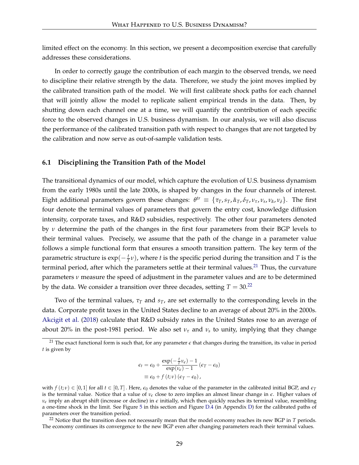limited effect on the economy. In this section, we present a decomposition exercise that carefully addresses these considerations.

In order to correctly gauge the contribution of each margin to the observed trends, we need to discipline their relative strength by the data. Therefore, we study the joint moves implied by the calibrated transition path of the model. We will first calibrate shock paths for each channel that will jointly allow the model to replicate salient empirical trends in the data. Then, by shutting down each channel one at a time, we will quantify the contribution of each specific force to the observed changes in U.S. business dynamism. In our analysis, we will also discuss the performance of the calibrated transition path with respect to changes that are not targeted by the calibration and now serve as out-of-sample validation tests.

#### <span id="page-30-0"></span>**6.1 Disciplining the Transition Path of the Model**

The transitional dynamics of our model, which capture the evolution of U.S. business dynamism from the early 1980s until the late 2000s, is shaped by changes in the four channels of interest. Eight additional parameters govern these changes:  $\theta^{tr} \equiv \{\tau_T, s_T, \tilde{\alpha}_T, \delta_T, \nu_\tau, \nu_s, \nu_{\tilde{\alpha}}, \nu_{\delta}\}.$  The first four denote the terminal values of parameters that govern the entry cost, knowledge diffusion intensity, corporate taxes, and R&D subsidies, respectively. The other four parameters denoted by *ν* determine the path of the changes in the first four parameters from their BGP levels to their terminal values. Precisely, we assume that the path of the change in a parameter value follows a simple functional form that ensures a smooth transition pattern. The key term of the parametric structure is  $\exp(-\frac{t}{T}\nu)$ , where *t* is the specific period during the transition and *T* is the terminal period, after which the parameters settle at their terminal values.<sup>[21](#page-30-1)</sup> Thus, the curvature parameters *ν* measure the speed of adjustment in the parameter values and are to be determined by the data. We consider a transition over three decades, setting  $T = 30^{22}$  $T = 30^{22}$  $T = 30^{22}$ 

Two of the terminal values,  $\tau_T$  and  $s_T$ , are set externally to the corresponding levels in the data. Corporate profit taxes in the United States decline to an average of about 20% in the 2000s. [Akcigit et al.](#page-51-4) [\(2018\)](#page-51-4) calculate that R&D subsidy rates in the United States rose to an average of about 20% in the post-1981 period. We also set  $v<sub>\tau</sub>$  and  $v<sub>s</sub>$  to unity, implying that they change

$$
\epsilon_t = \epsilon_0 + \frac{\exp(-\frac{t}{T}\nu_{\epsilon}) - 1}{\exp(\nu_{\epsilon}) - 1} (\epsilon_T - \epsilon_0)
$$

$$
\equiv \epsilon_0 + f(t; \nu) (\epsilon_T - \epsilon_0),
$$

<span id="page-30-2"></span><sup>22</sup> Notice that the transition does not necessarily mean that the model economy reaches its new BGP in *T* periods. The economy continues its convergence to the new BGP even after changing parameters reach their terminal values.

<span id="page-30-1"></span><sup>&</sup>lt;sup>21</sup> The exact functional form is such that, for any parameter  $\epsilon$  that changes during the transition, its value in period *t* is given by

with  $f(t; v) \in [0, 1]$  for all  $t \in [0, T]$ . Here,  $\epsilon_0$  denotes the value of the parameter in the calibrated initial BGP, and  $\epsilon_T$ is the terminal value. Notice that a value of *ν<sup>e</sup>* close to zero implies an almost linear change in *e*. Higher values of  $v_{\epsilon}$  imply an abrupt shift (increase or decline) in  $\epsilon$  initially, which then quickly reaches its terminal value, resembling a one-time shock in the limit. See Figure [5](#page-32-0) in this section and Figure [D.4](#page-62-2) (in Appendix [D\)](#page-62-1) for the calibrated paths of parameters over the transition period.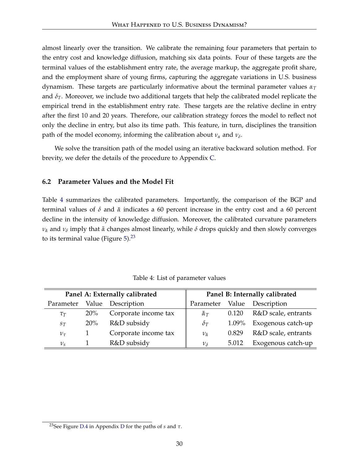almost linearly over the transition. We calibrate the remaining four parameters that pertain to the entry cost and knowledge diffusion, matching six data points. Four of these targets are the terminal values of the establishment entry rate, the average markup, the aggregate profit share, and the employment share of young firms, capturing the aggregate variations in U.S. business dynamism. These targets are particularly informative about the terminal parameter values *α<sup>T</sup>* and  $\delta_T$ . Moreover, we include two additional targets that help the calibrated model replicate the empirical trend in the establishment entry rate. These targets are the relative decline in entry after the first 10 and 20 years. Therefore, our calibration strategy forces the model to reflect not only the decline in entry, but also its time path. This feature, in turn, disciplines the transition path of the model economy, informing the calibration about  $\nu_{\alpha}$  and  $\nu_{\delta}$ .

We solve the transition path of the model using an iterative backward solution method. For brevity, we defer the details of the procedure to Appendix [C.](#page-60-1)

### **6.2 Parameter Values and the Model Fit**

<span id="page-31-0"></span>Table [4](#page-31-0) summarizes the calibrated parameters. Importantly, the comparison of the BGP and terminal values of *δ* and *α*˜ indicates a 60 percent increase in the entry cost and a 60 percent decline in the intensity of knowledge diffusion. Moreover, the calibrated curvature parameters *να*˜ and *ν<sup>δ</sup>* imply that *α*˜ changes almost linearly, while *δ* drops quickly and then slowly converges to its terminal value (Figure  $5$ ).<sup>[23](#page-31-1)</sup>

| Panel A: Externally calibrated |        |                      |                        |          | Panel B: Internally calibrated |
|--------------------------------|--------|----------------------|------------------------|----------|--------------------------------|
| Parameter                      | Value  | Description          |                        | Value    | Description                    |
| $\tau_T$                       | $20\%$ | Corporate income tax | $\tilde{\alpha}_T$     | 0.120    | R&D scale, entrants            |
| $S_{T}$                        | 20%    | R&D subsidy          | $\delta_T$             | $1.09\%$ | Exogenous catch-up             |
| $v_{\tau}$                     |        | Corporate income tax | $\nu_{\tilde{\alpha}}$ | 0.829    | R&D scale, entrants            |
| $\nu_s$                        |        | R&D subsidy          | $\nu_{\delta}$         | 5.012    | Exogenous catch-up             |

Table 4: List of parameter values

<span id="page-31-1"></span><sup>23</sup>See Figure [D.4](#page-62-2) in Appendix [D](#page-62-1) for the paths of *s* and *τ*.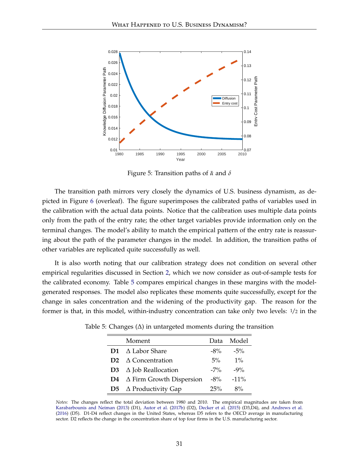<span id="page-32-0"></span>

Figure 5: Transition paths of *α*˜ and *δ*

The transition path mirrors very closely the dynamics of U.S. business dynamism, as depicted in Figure [6](#page-33-0) (overleaf). The figure superimposes the calibrated paths of variables used in the calibration with the actual data points. Notice that the calibration uses multiple data points only from the path of the entry rate; the other target variables provide information only on the terminal changes. The model's ability to match the empirical pattern of the entry rate is reassuring about the path of the parameter changes in the model. In addition, the transition paths of other variables are replicated quite successfully as well.

It is also worth noting that our calibration strategy does not condition on several other empirical regularities discussed in Section [2,](#page-6-0) which we now consider as out-of-sample tests for the calibrated economy. Table [5](#page-32-1) compares empirical changes in these margins with the modelgenerated responses. The model also replicates these moments quite successfully, except for the change in sales concentration and the widening of the productivity gap. The reason for the former is that, in this model, within-industry concentration can take only two levels: 1/2 in the

| Moment                              |        | Data Model |
|-------------------------------------|--------|------------|
| D1 $\Delta$ Labor Share             | $-8\%$ | $-5\%$     |
| $D2 \Delta$ Concentration           | 5%     | $1\%$      |
| <b>D3</b> $\Delta$ Job Reallocation | $-7\%$ | $-9\%$     |
| $D4 \Delta$ Firm Growth Dispersion  | $-8\%$ | $-11\%$    |
| <b>D5</b> $\Delta$ Productivity Gap | 25%    | 8%         |

<span id="page-32-1"></span>Table 5: Changes  $(\Delta)$  in untargeted moments during the transition

*Notes:* The changes reflect the total deviation between 1980 and 2010. The empirical magnitudes are taken from [Karabarbounis and Neiman](#page-55-3) [\(2013\)](#page-55-3) (D1), [Autor et al.](#page-51-7) [\(2017b\)](#page-51-7) (D2), [Decker et al.](#page-53-14) [\(2015\)](#page-53-14) (D3,D4), and [Andrews et al.](#page-51-11) [\(2016\)](#page-51-11) (D5). D1-D4 reflect changes in the United States, whereas D5 refers to the OECD average in manufacturing sector. D2 reflects the change in the concentration share of top four firms in the U.S. manufacturing sector.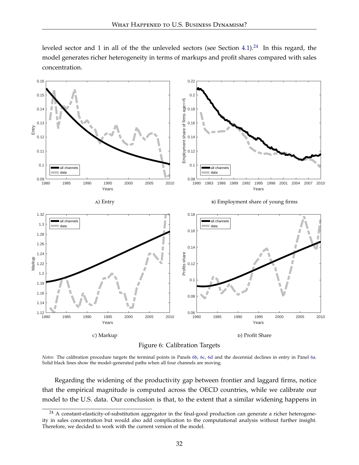leveled sector and 1 in all of the the unleveled sectors (see Section [4.1\)](#page-20-1).<sup>[24](#page-33-1)</sup> In this regard, the model generates richer heterogeneity in terms of markups and profit shares compared with sales concentration.

<span id="page-33-5"></span><span id="page-33-0"></span>

<span id="page-33-4"></span><span id="page-33-2"></span>Figure 6: Calibration Targets

<span id="page-33-3"></span>*Notes:* The calibration procedure targets the terminal points in Panels [6b,](#page-33-2) [6c,](#page-33-3) [6d](#page-33-4) and the decennial declines in entry in Panel [6a.](#page-33-5) Solid black lines show the model–generated paths when all four channels are moving.

Regarding the widening of the productivity gap between frontier and laggard firms, notice that the empirical magnitude is computed across the OECD countries, while we calibrate our model to the U.S. data. Our conclusion is that, to the extent that a similar widening happens in

<span id="page-33-1"></span><sup>&</sup>lt;sup>24</sup> A constant-elasticity-of-substitution aggregator in the final-good production can generate a richer heterogeneity in sales concentration but would also add complication to the computational analysis without further insight. Therefore, we decided to work with the current version of the model.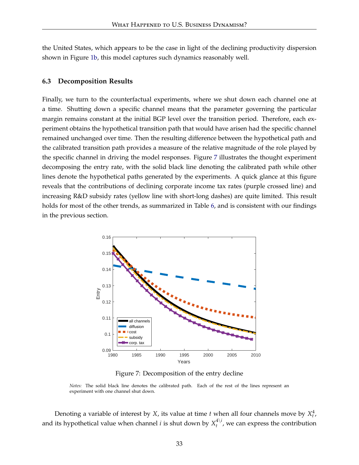the United States, which appears to be the case in light of the declining productivity dispersion shown in Figure [1b,](#page-10-2) this model captures such dynamics reasonably well.

#### <span id="page-34-1"></span>**6.3 Decomposition Results**

Finally, we turn to the counterfactual experiments, where we shut down each channel one at a time. Shutting down a specific channel means that the parameter governing the particular margin remains constant at the initial BGP level over the transition period. Therefore, each experiment obtains the hypothetical transition path that would have arisen had the specific channel remained unchanged over time. Then the resulting difference between the hypothetical path and the calibrated transition path provides a measure of the relative magnitude of the role played by the specific channel in driving the model responses. Figure [7](#page-34-0) illustrates the thought experiment decomposing the entry rate, with the solid black line denoting the calibrated path while other lines denote the hypothetical paths generated by the experiments. A quick glance at this figure reveals that the contributions of declining corporate income tax rates (purple crossed line) and increasing R&D subsidy rates (yellow line with short-long dashes) are quite limited. This result holds for most of the other trends, as summarized in Table [6,](#page-35-0) and is consistent with our findings in the previous section.

<span id="page-34-0"></span>

Figure 7: Decomposition of the entry decline

Denoting a variable of interest by *X*, its value at time *t* when all four channels move by  $X_t^4$ , and its hypothetical value when channel *i* is shut down by  $X_t^{4\setminus i}$ , we can express the contribution

*Notes:* The solid black line denotes the calibrated path. Each of the rest of the lines represent an experiment with one channel shut down.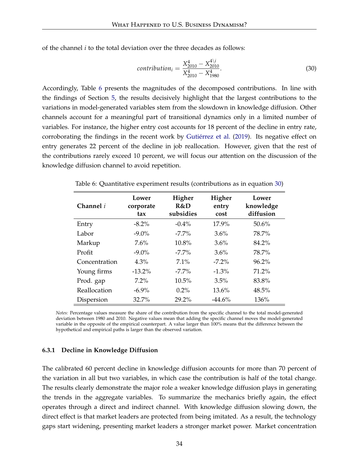of the channel *i* to the total deviation over the three decades as follows:

<span id="page-35-1"></span>
$$
contribution_{i} = \frac{X_{2010}^{4} - X_{2010}^{4 \backslash i}}{X_{2010}^{4} - X_{1980}^{4}}.
$$
\n(30)

Accordingly, Table [6](#page-35-0) presents the magnitudes of the decomposed contributions. In line with the findings of Section [5,](#page-24-0) the results decisively highlight that the largest contributions to the variations in model-generated variables stem from the slowdown in knowledge diffusion. Other channels account for a meaningful part of transitional dynamics only in a limited number of variables. For instance, the higher entry cost accounts for 18 percent of the decline in entry rate, corroborating the findings in the recent work by [Gutiérrez et al.](#page-54-15) [\(2019\)](#page-54-15). Its negative effect on entry generates 22 percent of the decline in job reallocation. However, given that the rest of the contributions rarely exceed 10 percent, we will focus our attention on the discussion of the knowledge diffusion channel to avoid repetition.

| Channel $i$   | Lower<br>corporate<br>tax | Higher<br>R&D<br>subsidies | Higher<br>entry<br>cost | Lower<br>knowledge<br>diffusion |
|---------------|---------------------------|----------------------------|-------------------------|---------------------------------|
| Entry         | $-8.2\%$                  | $-0.4\%$                   | 17.9%                   | 50.6%                           |
| Labor         | $-9.0\%$                  | $-7.7\%$                   | $3.6\%$                 | 78.7%                           |
| Markup        | $7.6\%$                   | 10.8%                      | $3.6\%$                 | 84.2%                           |
| Profit        | $-9.0\%$                  | $-7.7\%$                   | $3.6\%$                 | 78.7%                           |
| Concentration | $4.3\%$                   | 7.1%                       | $-7.2\%$                | $96.2\%$                        |
| Young firms   | $-13.2\%$                 | $-7.7\%$                   | $-1.3\%$                | 71.2%                           |
| Prod. gap     | 7.2%                      | $10.5\%$                   | $3.5\%$                 | 83.8%                           |
| Reallocation  | $-6.9\%$                  | $0.2\%$                    | 13.6%                   | 48.5%                           |
| Dispersion    | 32.7%                     | 29.2%                      | $-44.6%$                | 136%                            |

<span id="page-35-0"></span>Table 6: Quantitative experiment results (contributions as in equation [30\)](#page-35-1)

*Notes:* Percentage values measure the share of the contribution from the specific channel to the total model-generated deviation between 1980 and 2010. Negative values mean that adding the specific channel moves the model-generated variable in the opposite of the empirical counterpart. A value larger than 100% means that the difference between the hypothetical and empirical paths is larger than the observed variation.

### **6.3.1 Decline in Knowledge Diffusion**

The calibrated 60 percent decline in knowledge diffusion accounts for more than 70 percent of the variation in all but two variables, in which case the contribution is half of the total change. The results clearly demonstrate the major role a weaker knowledge diffusion plays in generating the trends in the aggregate variables. To summarize the mechanics briefly again, the effect operates through a direct and indirect channel. With knowledge diffusion slowing down, the direct effect is that market leaders are protected from being imitated. As a result, the technology gaps start widening, presenting market leaders a stronger market power. Market concentration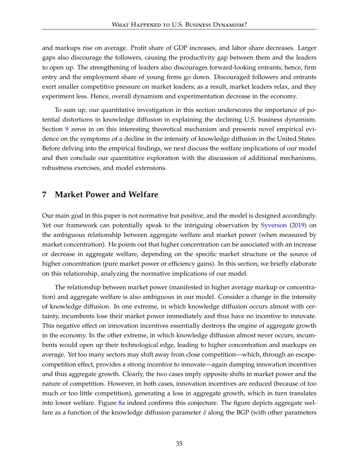and markups rise on average. Profit share of GDP increases, and labor share decreases. Larger gaps also discourage the followers, causing the productivity gap between them and the leaders to open up. The strengthening of leaders also discourages forward-looking entrants; hence, firm entry and the employment share of young firms go down. Discouraged followers and entrants exert smaller competitive pressure on market leaders; as a result, market leaders relax, and they experiment less. Hence, overall dynamism and experimentation decrease in the economy.

To sum up, our quantitative investigation in this section underscores the importance of potential distortions in knowledge diffusion in explaining the declining U.S. business dynamism. Section [9](#page-45-0) zeros in on this interesting theoretical mechanism and presents novel empirical evidence on the symptoms of a decline in the intensity of knowledge diffusion in the United States. Before delving into the empirical findings, we next discuss the welfare implications of our model and then conclude our quantitative exploration with the discussion of additional mechanisms, robustness exercises, and model extensions.

### <span id="page-36-0"></span>**7 Market Power and Welfare**

Our main goal in this paper is not normative but positive, and the model is designed accordingly. Yet our framework can potentially speak to the intriguing observation by [Syverson](#page-56-0) [\(2019\)](#page-56-0) on the ambiguous relationship between aggregate welfare and market power (when measured by market concentration). He points out that higher concentration can be associated with an increase or decrease in aggregate welfare, depending on the specific market structure or the source of higher concentration (pure market power or efficiency gains). In this section, we briefly elaborate on this relationship, analyzing the normative implications of our model.

The relationship between market power (manifested in higher average markup or concentration) and aggregate welfare is also ambiguous in our model. Consider a change in the intensity of knowledge diffusion. In one extreme, in which knowledge diffusion occurs almost with certainty, incumbents lose their market power immediately and thus have no incentive to innovate. This negative effect on innovation incentives essentially destroys the engine of aggregate growth in the economy. In the other extreme, in which knowledge diffusion almost never occurs, incumbents would open up their technological edge, leading to higher concentration and markups on average. Yet too many sectors may shift away from close competition—which, through an escapecompetition effect, provides a strong incentive to innovate—again damping innovation incentives and thus aggregate growth. Clearly, the two cases imply opposite shifts in market power and the nature of competition. However, in both cases, innovation incentives are reduced (because of too much or too little competition), generating a loss in aggregate growth, which in turn translates into lower welfare. Figure [8a](#page-37-0) indeed confirms this conjecture. The figure depicts aggregate welfare as a function of the knowledge diffusion parameter *δ* along the BGP (with other parameters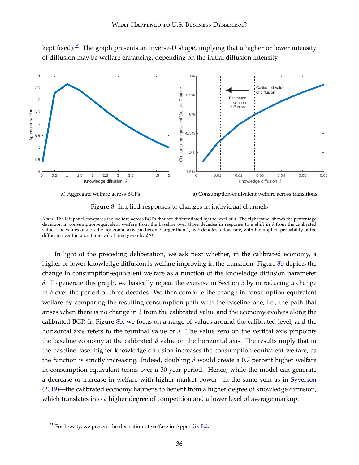

kept fixed).<sup>[25](#page-37-1)</sup> The graph presents an inverse-U shape, implying that a higher or lower intensity of diffusion may be welfare enhancing, depending on the initial diffusion intensity.

<span id="page-37-2"></span>

<span id="page-37-0"></span>*Notes:* The left panel compares the welfare across BGPs that are differentiated by the level of *δ*. The right panel shows the percentage deviation in consumption-equivalent welfare from the baseline over three decades in response to a shift in *δ* from the calibrated value. The values of *δ* on the horizontal axis can become larger than 1, as *δ* denotes a flow rate, with the implied probability of the diffusion event in a unit interval of time given by *δ*∆*t*.

In light of the preceding deliberation, we ask next whether, in the calibrated economy, a higher or lower knowledge diffusion is welfare improving in the transition. Figure [8b](#page-37-2) depicts the change in consumption-equivalent welfare as a function of the knowledge diffusion parameter *δ*. To generate this graph, we basically repeat the exercise in Section [5](#page-24-0) by introducing a change in  $\delta$  over the period of three decades. We then compute the change in consumption-equivalent welfare by comparing the resulting consumption path with the baseline one, i.e., the path that arises when there is no change in  $\delta$  from the calibrated value and the economy evolves along the calibrated BGP. In Figure [8b,](#page-37-2) we focus on a range of values around the calibrated level, and the horizontal axis refers to the terminal value of *δ*. The value zero on the vertical axis pinpoints the baseline economy at the calibrated *δ* value on the horizontal axis. The results imply that in the baseline case, higher knowledge diffusion increases the consumption-equivalent welfare, as the function is strictly increasing. Indeed, doubling *δ* would create a 0.7 percent higher welfare in consumption-equivalent terms over a 30-year period. Hence, while the model can generate a decrease or increase in welfare with higher market power—in the same vein as in [Syverson](#page-56-0) [\(2019\)](#page-56-0)—the calibrated economy happens to benefit from a higher degree of knowledge diffusion, which translates into a higher degree of competition and a lower level of average markup.

<span id="page-37-1"></span> $25$  For brevity, we present the derivation of welfare in Appendix [B.2.](#page-60-2)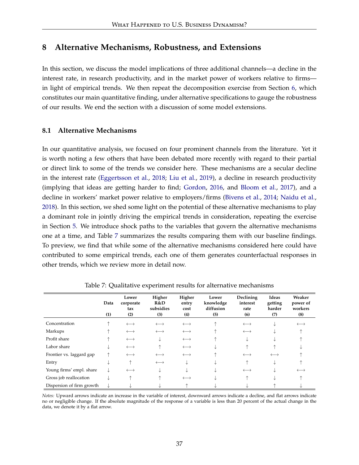### <span id="page-38-0"></span>**8 Alternative Mechanisms, Robustness, and Extensions**

In this section, we discuss the model implications of three additional channels—a decline in the interest rate, in research productivity, and in the market power of workers relative to firms in light of empirical trends. We then repeat the decomposition exercise from Section [6,](#page-29-0) which constitutes our main quantitative finding, under alternative specifications to gauge the robustness of our results. We end the section with a discussion of some model extensions.

### <span id="page-38-1"></span>**8.1 Alternative Mechanisms**

In our quantitative analysis, we focused on four prominent channels from the literature. Yet it is worth noting a few others that have been debated more recently with regard to their partial or direct link to some of the trends we consider here. These mechanisms are a secular decline in the interest rate [\(Eggertsson et al.,](#page-53-1) [2018;](#page-53-1) [Liu et al.,](#page-55-2) [2019\)](#page-55-2), a decline in research productivity (implying that ideas are getting harder to find; [Gordon,](#page-54-16) [2016,](#page-54-16) and [Bloom et al.,](#page-52-10) [2017\)](#page-52-10), and a decline in workers' market power relative to employers/firms [\(Bivens et al.,](#page-52-11) [2014;](#page-52-11) [Naidu et al.,](#page-55-13) [2018\)](#page-55-13). In this section, we shed some light on the potential of these alternative mechanisms to play a dominant role in jointly driving the empirical trends in consideration, repeating the exercise in Section [5.](#page-24-0) We introduce shock paths to the variables that govern the alternative mechanisms one at a time, and Table [7](#page-38-2) summarizes the results comparing them with our baseline findings. To preview, we find that while some of the alternative mechanisms considered here could have contributed to some empirical trends, each one of them generates counterfactual responses in other trends, which we review more in detail now.

<span id="page-38-2"></span>

|                           | Data<br>(1) | Lower<br>corporate<br>tax<br>(2) | Higher<br>R&D<br>subsidies<br>(3) | Higher<br>entry<br>cost<br>(4) | Lower<br>knowledge<br>diffusion<br>(5) | Declining<br>interest<br>rate<br>(6) | Ideas<br>getting<br>harder<br>(7) | Weaker<br>power of<br>workers<br>(8) |
|---------------------------|-------------|----------------------------------|-----------------------------------|--------------------------------|----------------------------------------|--------------------------------------|-----------------------------------|--------------------------------------|
| Concentration             |             | $\longleftrightarrow$            | $\longleftrightarrow$             | $\longleftrightarrow$          |                                        | $\longleftrightarrow$                |                                   | $\longleftrightarrow$                |
| Markups                   |             | $\longleftrightarrow$            | $\longleftrightarrow$             | $\longleftrightarrow$          |                                        | $\longleftrightarrow$                |                                   |                                      |
| Profit share              |             | $\longleftrightarrow$            |                                   | $\longleftrightarrow$          |                                        |                                      |                                   |                                      |
| Labor share               |             | $\longleftrightarrow$            | ↑                                 | $\longleftrightarrow$          |                                        |                                      |                                   |                                      |
| Frontier vs. laggard gap  |             | $\longleftrightarrow$            | $\longleftrightarrow$             | $\longleftrightarrow$          |                                        | $\longleftrightarrow$                |                                   |                                      |
| Entry                     |             |                                  | $\longleftrightarrow$             |                                |                                        |                                      |                                   |                                      |
| Young firms' empl. share  |             | $\longleftrightarrow$            |                                   | ◡                              |                                        | $\longleftrightarrow$                |                                   |                                      |
| Gross job reallocation    |             |                                  |                                   | $\longleftrightarrow$          |                                        |                                      |                                   |                                      |
| Dispersion of firm growth |             |                                  |                                   |                                |                                        |                                      |                                   |                                      |

Table 7: Qualitative experiment results for alternative mechanisms

*Notes:* Upward arrows indicate an increase in the variable of interest, downward arrows indicate a decline, and flat arrows indicate no or negligible change. If the absolute magnitude of the response of a variable is less than 20 percent of the actual change in the data, we denote it by a flat arrow.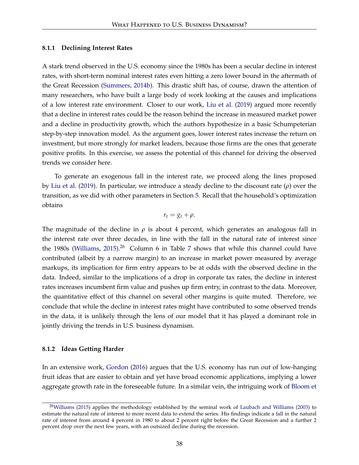#### **8.1.1 Declining Interest Rates**

A stark trend observed in the U.S. economy since the 1980s has been a secular decline in interest rates, with short-term nominal interest rates even hitting a zero lower bound in the aftermath of the Great Recession [\(Summers,](#page-56-6) [2014b\)](#page-56-6). This drastic shift has, of course, drawn the attention of many researchers, who have built a large body of work looking at the causes and implications of a low interest rate environment. Closer to our work, [Liu et al.](#page-55-2) [\(2019\)](#page-55-2) argued more recently that a decline in interest rates could be the reason behind the increase in measured market power and a decline in productivity growth, which the authors hypothesize in a basic Schumpeterian step-by-step innovation model. As the argument goes, lower interest rates increase the return on investment, but more strongly for market leaders, because those firms are the ones that generate positive profits. In this exercise, we assess the potential of this channel for driving the observed trends we consider here.

To generate an exogenous fall in the interest rate, we proceed along the lines proposed by [Liu et al.](#page-55-2) [\(2019\)](#page-55-2). In particular, we introduce a steady decline to the discount rate (*ρ*) over the transition, as we did with other parameters in Section [5.](#page-24-0) Recall that the household's optimization obtains

$$
r_t = g_t + \rho.
$$

The magnitude of the decline in  $\rho$  is about 4 percent, which generates an analogous fall in the interest rate over three decades, in line with the fall in the natural rate of interest since the 1980s [\(Williams,](#page-56-7) [2015\)](#page-56-7).<sup>[26](#page-39-0)</sup> Column 6 in Table [7](#page-38-2) shows that while this channel could have contributed (albeit by a narrow margin) to an increase in market power measured by average markups, its implication for firm entry appears to be at odds with the observed decline in the data. Indeed, similar to the implications of a drop in corporate tax rates, the decline in interest rates increases incumbent firm value and pushes up firm entry, in contrast to the data. Moreover, the quantitative effect of this channel on several other margins is quite muted. Therefore, we conclude that while the decline in interest rates might have contributed to some observed trends in the data, it is unlikely through the lens of our model that it has played a dominant role in jointly driving the trends in U.S. business dynamism.

#### **8.1.2 Ideas Getting Harder**

In an extensive work, [Gordon](#page-54-16) [\(2016\)](#page-54-16) argues that the U.S. economy has run out of low-hanging fruit ideas that are easier to obtain and yet have broad economic applications, implying a lower aggregate growth rate in the foreseeable future. In a similar vein, the intriguing work of [Bloom et](#page-52-10)

<span id="page-39-0"></span><sup>&</sup>lt;sup>26</sup>[Williams](#page-56-7) [\(2015\) applies the methodology established by the seminal work of](#page-52-10) [Laubach and Williams](#page-55-14) [\(2003\)](#page-55-14) to [estimate the natural rate of interest to more recent data to extend the series. His findings indicate a fall in the natural](#page-52-10) [rate of interest from around 4 percent in 1980 to about 2 percent right before the Great Recession and a further 2](#page-52-10) [percent drop over the next few years, with an outsized decline during the recession.](#page-52-10)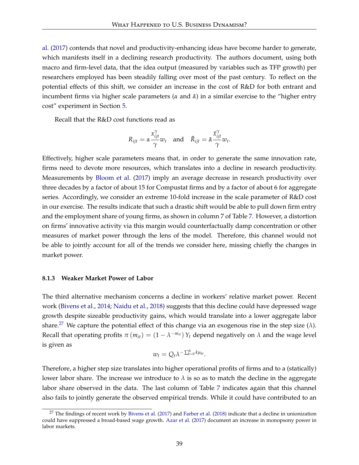[al.](#page-52-10) [\(2017\)](#page-52-10) contends that novel and productivity-enhancing ideas have become harder to generate, which manifests itself in a declining research productivity. The authors document, using both macro and firm-level data, that the idea output (measured by variables such as TFP growth) per researchers employed has been steadily falling over most of the past century. To reflect on the potential effects of this shift, we consider an increase in the cost of R&D for both entrant and incumbent firms via higher scale parameters (*α* and  $\tilde{a}$ ) in a similar exercise to the "higher entry cost" experiment in Section [5.](#page-24-0)

Recall that the R&D cost functions read as

$$
R_{ijt} = \alpha \frac{x_{ijt}^{\gamma}}{\gamma} w_t \quad \text{and} \quad \tilde{R}_{ijt} = \tilde{\alpha} \frac{\tilde{x}_{ijt}^{\gamma}}{\gamma} w_t.
$$

Effectively, higher scale parameters means that, in order to generate the same innovation rate, firms need to devote more resources, which translates into a decline in research productivity. Measurements by [Bloom et al.](#page-52-10) [\(2017\)](#page-52-10) imply an average decrease in research productivity over three decades by a factor of about 15 for Compustat firms and by a factor of about 6 for aggregate series. Accordingly, we consider an extreme 10-fold increase in the scale parameter of R&D cost in our exercise. The results indicate that such a drastic shift would be able to pull down firm entry and the employment share of young firms, as shown in column 7 of Table [7.](#page-38-2) However, a distortion on firms' innovative activity via this margin would counterfactually damp concentration or other measures of market power through the lens of the model. Therefore, this channel would not be able to jointly account for all of the trends we consider here, missing chiefly the changes in market power.

#### **8.1.3 Weaker Market Power of Labor**

The third alternative mechanism concerns a decline in workers' relative market power. Recent work [\(Bivens et al.,](#page-52-11) [2014;](#page-52-11) [Naidu et al.,](#page-55-13) [2018\)](#page-55-13) suggests that this decline could have depressed wage growth despite sizeable productivity gains, which would translate into a lower aggregate labor share.[27](#page-40-0) We capture the potential effect of this change via an exogenous rise in the step size (*λ*). Recall that operating profits  $\pi(m_{it}) = (1 - \lambda^{-m_{it}}) Y_t$  depend negatively on  $\lambda$  and the wage level is given as

$$
w_t = Q_t \lambda^{-\sum_{k=0}^{\bar{m}} k \mu_{kt}}.
$$

Therefore, a higher step size translates into higher operational profits of firms and to a (statically) lower labor share. The increase we introduce to  $\lambda$  is so as to match the decline in the aggregate labor share observed in the data. The last column of Table [7](#page-38-2) indicates again that this channel also fails to jointly generate the observed empirical trends. While it could have contributed to an

<span id="page-40-0"></span> $27$  The findings of recent work by [Bivens et al.](#page-52-12) [\(2017\)](#page-52-12) and [Farber et al.](#page-53-15) [\(2018\)](#page-53-15) indicate that a decline in unionization could have suppressed a broad-based wage growth. [Azar et al.](#page-51-13) [\(2017\)](#page-51-13) document an increase in monopsony power in labor markets.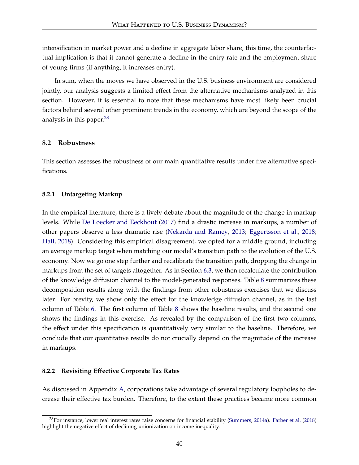intensification in market power and a decline in aggregate labor share, this time, the counterfactual implication is that it cannot generate a decline in the entry rate and the employment share of young firms (if anything, it increases entry).

In sum, when the moves we have observed in the U.S. business environment are considered jointly, our analysis suggests a limited effect from the alternative mechanisms analyzed in this section. However, it is essential to note that these mechanisms have most likely been crucial factors behind several other prominent trends in the economy, which are beyond the scope of the analysis in this paper. $^{28}$  $^{28}$  $^{28}$ 

### **8.2 Robustness**

This section assesses the robustness of our main quantitative results under five alternative specifications.

### **8.2.1 Untargeting Markup**

In the empirical literature, there is a lively debate about the magnitude of the change in markup levels. While [De Loecker and Eeckhout](#page-53-0) [\(2017\)](#page-53-0) find a drastic increase in markups, a number of other papers observe a less dramatic rise [\(Nekarda and Ramey,](#page-55-0) [2013;](#page-55-0) [Eggertsson et al.,](#page-53-1) [2018;](#page-53-1) [Hall,](#page-54-6) [2018\)](#page-54-6). Considering this empirical disagreement, we opted for a middle ground, including an average markup target when matching our model's transition path to the evolution of the U.S. economy. Now we go one step further and recalibrate the transition path, dropping the change in markups from the set of targets altogether. As in Section [6.3,](#page-34-1) we then recalculate the contribution of the knowledge diffusion channel to the model-generated responses. Table [8](#page-42-0) summarizes these decomposition results along with the findings from other robustness exercises that we discuss later. For brevity, we show only the effect for the knowledge diffusion channel, as in the last column of Table [6.](#page-35-0) The first column of Table [8](#page-42-0) shows the baseline results, and the second one shows the findings in this exercise. As revealed by the comparison of the first two columns, the effect under this specification is quantitatively very similar to the baseline. Therefore, we conclude that our quantitative results do not crucially depend on the magnitude of the increase in markups.

### **8.2.2 Revisiting Effective Corporate Tax Rates**

As discussed in Appendix [A,](#page-57-0) corporations take advantage of several regulatory loopholes to decrease their effective tax burden. Therefore, to the extent these practices became more common

<span id="page-41-0"></span> $28$ For instance, lower real interest rates raise concerns for financial stability [\(Summers,](#page-56-8) [2014a\)](#page-56-8). [Farber et al.](#page-53-15) [\(2018\)](#page-53-15) highlight the negative effect of declining unionization on income inequality.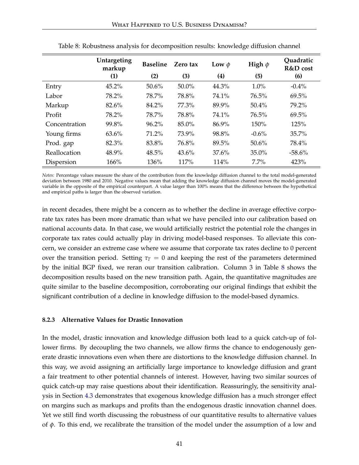<span id="page-42-0"></span>

|               | Untargeting<br>markup | <b>Baseline</b> | Zero tax | Low $\phi$ | High $\phi$ | Quadratic<br>R&D cost |
|---------------|-----------------------|-----------------|----------|------------|-------------|-----------------------|
|               | (1)                   | (2)             | (3)      | (4)        | (5)         | (6)                   |
| Entry         | 45.2%                 | $50.6\%$        | $50.0\%$ | 44.3%      | 1.0%        | $-0.4\%$              |
| Labor         | 78.2%                 | 78.7%           | 78.8%    | 74.1%      | 76.5%       | 69.5%                 |
| Markup        | 82.6%                 | 84.2%           | 77.3%    | 89.9%      | 50.4%       | 79.2%                 |
| Profit        | 78.2%                 | 78.7%           | 78.8%    | 74.1%      | 76.5%       | 69.5%                 |
| Concentration | 99.8%                 | 96.2%           | $85.0\%$ | 86.9%      | 150%        | 125%                  |
| Young firms   | 63.6%                 | 71.2%           | 73.9%    | 98.8%      | $-0.6\%$    | 35.7%                 |
| Prod. gap     | 82.3%                 | 83.8%           | 76.8%    | 89.5%      | 50.6%       | 78.4%                 |
| Reallocation  | 48.9%                 | 48.5%           | 43.6%    | 37.6%      | $35.0\%$    | $-58.6%$              |
| Dispersion    | 166%                  | 136%            | 117%     | 114%       | $7.7\%$     | 423%                  |

Table 8: Robustness analysis for decomposition results: knowledge diffusion channel

*Notes:* Percentage values measure the share of the contribution from the knowledge diffusion channel to the total model-generated deviation between 1980 and 2010. Negative values mean that adding the knowledge diffusion channel moves the model-generated variable in the opposite of the empirical counterpart. A value larger than 100% means that the difference between the hypothetical and empirical paths is larger than the observed variation.

in recent decades, there might be a concern as to whether the decline in average effective corporate tax rates has been more dramatic than what we have penciled into our calibration based on national accounts data. In that case, we would artificially restrict the potential role the changes in corporate tax rates could actually play in driving model-based responses. To alleviate this concern, we consider an extreme case where we assume that corporate tax rates decline to 0 percent over the transition period. Setting  $\tau_T = 0$  and keeping the rest of the parameters determined by the initial BGP fixed, we reran our transition calibration. Column 3 in Table [8](#page-42-0) shows the decomposition results based on the new transition path. Again, the quantitative magnitudes are quite similar to the baseline decomposition, corroborating our original findings that exhibit the significant contribution of a decline in knowledge diffusion to the model-based dynamics.

### **8.2.3 Alternative Values for Drastic Innovation**

In the model, drastic innovation and knowledge diffusion both lead to a quick catch-up of follower firms. By decoupling the two channels, we allow firms the chance to endogenously generate drastic innovations even when there are distortions to the knowledge diffusion channel. In this way, we avoid assigning an artificially large importance to knowledge diffusion and grant a fair treatment to other potential channels of interest. However, having two similar sources of quick catch-up may raise questions about their identification. Reassuringly, the sensitivity analysis in Section [4.3](#page-23-1) demonstrates that exogenous knowledge diffusion has a much stronger effect on margins such as markups and profits than the endogenous drastic innovation channel does. Yet we still find worth discussing the robustness of our quantitative results to alternative values of  $φ$ . To this end, we recalibrate the transition of the model under the assumption of a low and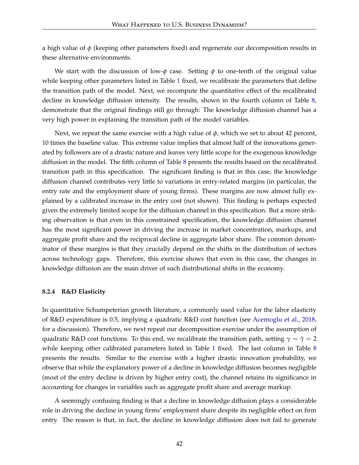a high value of *φ* (keeping other parameters fixed) and regenerate our decomposition results in these alternative environments.

We start with the discussion of low-*φ* case. Setting *φ* to one-tenth of the original value while keeping other parameters listed in Table [1](#page-23-0) fixed, we recalibrate the parameters that define the transition path of the model. Next, we recompute the quantitative effect of the recalibrated decline in knowledge diffusion intensity. The results, shown in the fourth column of Table [8,](#page-42-0) demonstrate that the original findings still go through: The knowledge diffusion channel has a very high power in explaining the transition path of the model variables.

Next, we repeat the same exercise with a high value of *φ*, which we set to about 42 percent, 10 times the baseline value. This extreme value implies that almost half of the innovations generated by followers are of a drastic nature and leaves very little scope for the exogenous knowledge diffusion in the model. The fifth column of Table [8](#page-42-0) presents the results based on the recalibrated transition path in this specification. The significant finding is that in this case, the knowledge diffusion channel contributes very little to variations in entry-related margins (in particular, the entry rate and the employment share of young firms). These margins are now almost fully explained by a calibrated increase in the entry cost (not shown). This finding is perhaps expected given the extremely limited scope for the diffusion channel in this specification. But a more striking observation is that even in this constrained specification, the knowledge diffusion channel has the most significant power in driving the increase in market concentration, markups, and aggregate profit share and the reciprocal decline in aggregate labor share. The common denominator of these margins is that they crucially depend on the shifts in the distribution of sectors across technology gaps. Therefore, this exercise shows that even in this case, the changes in knowledge diffusion are the main driver of such distributional shifts in the economy.

### **8.2.4 R&D Elasticity**

In quantitative Schumpeterian growth literature, a commonly used value for the labor elasticity of R&D expenditure is 0.5, implying a quadratic R&D cost function (see [Acemoglu et al.,](#page-51-14) [2018,](#page-51-14) for a discussion). Therefore, we next repeat our decomposition exercise under the assumption of quadratic R&D cost functions. To this end, we recalibrate the transition path, setting  $\gamma = \tilde{\gamma} = 2$ while keeping other calibrated parameters listed in Table [1](#page-23-0) fixed. The last column in Table [8](#page-42-0) presents the results. Similar to the exercise with a higher drastic innovation probability, we observe that while the explanatory power of a decline in knowledge diffusion becomes negligible (most of the entry decline is driven by higher entry cost), the channel retains its significance in accounting for changes in variables such as aggregate profit share and average markup.

A seemingly confusing finding is that a decline in knowledge diffusion plays a considerable role in driving the decline in young firms' employment share despite its negligible effect on firm entry. The reason is that, in fact, the decline in knowledge diffusion does not fail to generate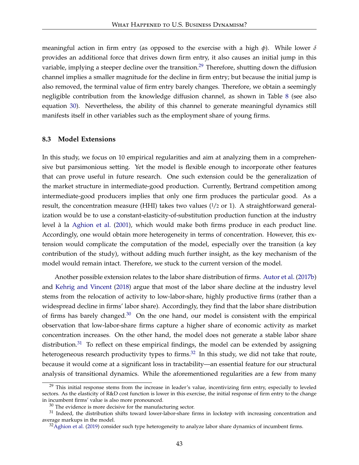meaningful action in firm entry (as opposed to the exercise with a high *φ*). While lower *δ* provides an additional force that drives down firm entry, it also causes an initial jump in this variable, implying a steeper decline over the transition.<sup>[29](#page-44-0)</sup> Therefore, shutting down the diffusion channel implies a smaller magnitude for the decline in firm entry; but because the initial jump is also removed, the terminal value of firm entry barely changes. Therefore, we obtain a seemingly negligible contribution from the knowledge diffusion channel, as shown in Table [8](#page-42-0) (see also equation [30\)](#page-35-1). Nevertheless, the ability of this channel to generate meaningful dynamics still manifests itself in other variables such as the employment share of young firms.

### **8.3 Model Extensions**

In this study, we focus on 10 empirical regularities and aim at analyzing them in a comprehensive but parsimonious setting. Yet the model is flexible enough to incorporate other features that can prove useful in future research. One such extension could be the generalization of the market structure in intermediate-good production. Currently, Bertrand competition among intermediate-good producers implies that only one firm produces the particular good. As a result, the concentration measure (HHI) takes two values  $(1/2 \text{ or } 1)$ . A straightforward generalization would be to use a constant-elasticity-of-substitution production function at the industry level à la [Aghion et al.](#page-51-1) [\(2001\)](#page-51-1), which would make both firms produce in each product line. Accordingly, one would obtain more heterogeneity in terms of concentration. However, this extension would complicate the computation of the model, especially over the transition (a key contribution of the study), without adding much further insight, as the key mechanism of the model would remain intact. Therefore, we stuck to the current version of the model.

Another possible extension relates to the labor share distribution of firms. [Autor et al.](#page-51-7) [\(2017b\)](#page-51-7) and [Kehrig and Vincent](#page-55-15) [\(2018\)](#page-55-15) argue that most of the labor share decline at the industry level stems from the relocation of activity to low-labor-share, highly productive firms (rather than a widespread decline in firms' labor share). Accordingly, they find that the labor share distribution of firms has barely changed. $30$  On the one hand, our model is consistent with the empirical observation that low-labor-share firms capture a higher share of economic activity as market concentration increases. On the other hand, the model does not generate a stable labor share distribution.<sup>[31](#page-44-2)</sup> To reflect on these empirical findings, the model can be extended by assigning heterogeneous research productivity types to firms.<sup>[32](#page-44-3)</sup> In this study, we did not take that route, because it would come at a significant loss in tractability—an essential feature for our structural analysis of transitional dynamics. While the aforementioned regularities are a few from many

<span id="page-44-0"></span><sup>&</sup>lt;sup>29</sup> This initial response stems from the increase in leader's value, incentivizing firm entry, especially to leveled sectors. As the elasticity of R&D cost function is lower in this exercise, the initial response of firm entry to the change in incumbent firms' value is also more pronounced.

<span id="page-44-2"></span><span id="page-44-1"></span> $30$  The evidence is more decisive for the manufacturing sector.

<sup>&</sup>lt;sup>31</sup> Indeed, the distribution shifts toward lower-labor-share firms in lockstep with increasing concentration and average markups in the model.

<span id="page-44-3"></span> $32$ [Aghion et al.](#page-51-9) [\(2019\)](#page-51-9) consider such type heterogeneity to analyze labor share dynamics of incumbent firms.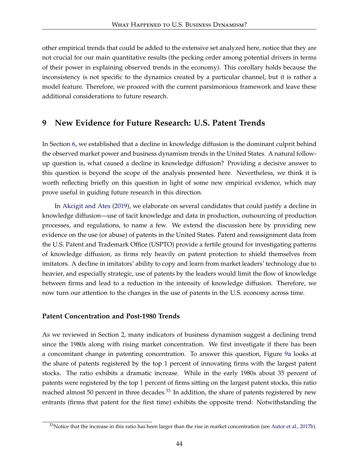other empirical trends that could be added to the extensive set analyzed here, notice that they are not crucial for our main quantitative results (the pecking order among potential drivers in terms of their power in explaining observed trends in the economy). This corollary holds because the inconsistency is not specific to the dynamics created by a particular channel, but it is rather a model feature. Therefore, we proceed with the current parsimonious framework and leave these additional considerations to future research.

### <span id="page-45-0"></span>**9 New Evidence for Future Research: U.S. Patent Trends**

In Section [6,](#page-29-0) we established that a decline in knowledge diffusion is the dominant culprit behind the observed market power and business dynamism trends in the United States. A natural followup question is, what caused a decline in knowledge diffusion? Providing a decisive answer to this question is beyond the scope of the analysis presented here. Nevertheless, we think it is worth reflecting briefly on this question in light of some new empirical evidence, which may prove useful in guiding future research in this direction.

In [Akcigit and Ates](#page-51-5) [\(2019\)](#page-51-5), we elaborate on several candidates that could justify a decline in knowledge diffusion—use of tacit knowledge and data in production, outsourcing of production processes, and regulations, to name a few. We extend the discussion here by providing new evidence on the use (or abuse) of patents in the United States. Patent and reassignment data from the U.S. Patent and Trademark Office (USPTO) provide a fertile ground for investigating patterns of knowledge diffusion, as firms rely heavily on patent protection to shield themselves from imitators. A decline in imitators' ability to copy and learn from market leaders' technology due to heavier, and especially strategic, use of patents by the leaders would limit the flow of knowledge between firms and lead to a reduction in the intensity of knowledge diffusion. Therefore, we now turn our attention to the changes in the use of patents in the U.S. economy across time.

### **Patent Concentration and Post-1980 Trends**

As we reviewed in Section [2,](#page-6-0) many indicators of business dynamism suggest a declining trend since the 1980s along with rising market concentration. We first investigate if there has been a concomitant change in patenting concentration. To answer this question, Figure [9a](#page-46-0) looks at the share of patents registered by the top 1 percent of innovating firms with the largest patent stocks. The ratio exhibits a dramatic increase. While in the early 1980s about 35 percent of patents were registered by the top 1 percent of firms sitting on the largest patent stocks, this ratio reached almost 50 percent in three decades.<sup>[33](#page-45-1)</sup> In addition, the share of patents registered by new entrants (firms that patent for the first time) exhibits the opposite trend: Notwithstanding the

<span id="page-45-1"></span> $33$ Notice that the increase in this ratio has been larger than the rise in market concentration (see [Autor et al.,](#page-51-7) [2017b\)](#page-51-7).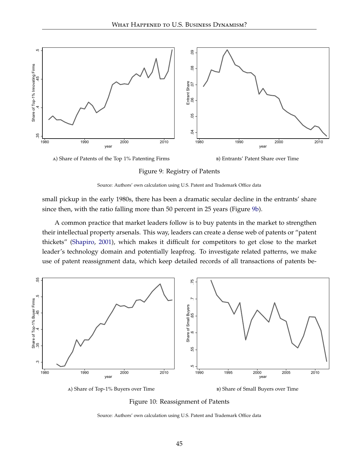<span id="page-46-0"></span>



<span id="page-46-1"></span>b) Entrants' Patent Share over Time

Figure 9: Registry of Patents



small pickup in the early 1980s, there has been a dramatic secular decline in the entrants' share since then, with the ratio falling more than 50 percent in 25 years (Figure [9b\)](#page-46-1).

A common practice that market leaders follow is to buy patents in the market to strengthen their intellectual property arsenals. This way, leaders can create a dense web of patents or "patent thickets" [\(Shapiro,](#page-56-9) [2001\)](#page-56-9), which makes it difficult for competitors to get close to the market leader's technology domain and potentially leapfrog. To investigate related patterns, we make use of patent reassignment data, which keep detailed records of all transactions of patents be-

<span id="page-46-2"></span>

<span id="page-46-3"></span>b) Share of Small Buyers over Time

Figure 10: Reassignment of Patents

Source: Authors' own calculation using U.S. Patent and Trademark Office data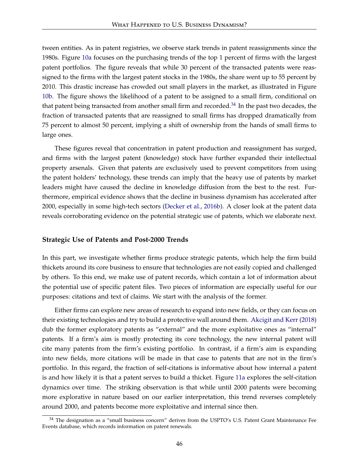tween entities. As in patent registries, we observe stark trends in patent reassignments since the 1980s. Figure [10a](#page-46-2) focuses on the purchasing trends of the top 1 percent of firms with the largest patent portfolios. The figure reveals that while 30 percent of the transacted patents were reassigned to the firms with the largest patent stocks in the 1980s, the share went up to 55 percent by 2010. This drastic increase has crowded out small players in the market, as illustrated in Figure [10b.](#page-46-3) The figure shows the likelihood of a patent to be assigned to a small firm, conditional on that patent being transacted from another small firm and recorded.<sup>[34](#page-47-0)</sup> In the past two decades, the fraction of transacted patents that are reassigned to small firms has dropped dramatically from 75 percent to almost 50 percent, implying a shift of ownership from the hands of small firms to large ones.

These figures reveal that concentration in patent production and reassignment has surged, and firms with the largest patent (knowledge) stock have further expanded their intellectual property arsenals. Given that patents are exclusively used to prevent competitors from using the patent holders' technology, these trends can imply that the heavy use of patents by market leaders might have caused the decline in knowledge diffusion from the best to the rest. Furthermore, empirical evidence shows that the decline in business dynamism has accelerated after 2000, especially in some high-tech sectors [\(Decker et al.,](#page-53-8) [2016b\)](#page-53-8). A closer look at the patent data reveals corroborating evidence on the potential strategic use of patents, which we elaborate next.

#### **Strategic Use of Patents and Post-2000 Trends**

In this part, we investigate whether firms produce strategic patents, which help the firm build thickets around its core business to ensure that technologies are not easily copied and challenged by others. To this end, we make use of patent records, which contain a lot of information about the potential use of specific patent files. Two pieces of information are especially useful for our purposes: citations and text of claims. We start with the analysis of the former.

Either firms can explore new areas of research to expand into new fields, or they can focus on their existing technologies and try to build a protective wall around them. [Akcigit and Kerr](#page-51-15) [\(2018\)](#page-51-15) dub the former exploratory patents as "external" and the more exploitative ones as "internal" patents. If a firm's aim is mostly protecting its core technology, the new internal patent will cite many patents from the firm's existing portfolio. In contrast, if a firm's aim is expanding into new fields, more citations will be made in that case to patents that are not in the firm's portfolio. In this regard, the fraction of self-citations is informative about how internal a patent is and how likely it is that a patent serves to build a thicket. Figure [11a](#page-48-0) explores the self-citation dynamics over time. The striking observation is that while until 2000 patents were becoming more explorative in nature based on our earlier interpretation, this trend reverses completely around 2000, and patents become more exploitative and internal since then.

<span id="page-47-0"></span><sup>&</sup>lt;sup>34</sup> The designation as a "small business concern" derives from the USPTO's U.S. Patent Grant Maintenance Fee Events database, which records information on patent renewals.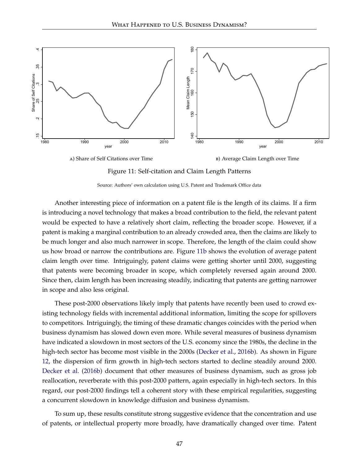<span id="page-48-0"></span>

<span id="page-48-1"></span>Figure 11: Self-citation and Claim Length Patterns

Source: Authors' own calculation using U.S. Patent and Trademark Office data

Another interesting piece of information on a patent file is the length of its claims. If a firm is introducing a novel technology that makes a broad contribution to the field, the relevant patent would be expected to have a relatively short claim, reflecting the broader scope. However, if a patent is making a marginal contribution to an already crowded area, then the claims are likely to be much longer and also much narrower in scope. Therefore, the length of the claim could show us how broad or narrow the contributions are. Figure [11b](#page-48-1) shows the evolution of average patent claim length over time. Intriguingly, patent claims were getting shorter until 2000, suggesting that patents were becoming broader in scope, which completely reversed again around 2000. Since then, claim length has been increasing steadily, indicating that patents are getting narrower in scope and also less original.

These post-2000 observations likely imply that patents have recently been used to crowd existing technology fields with incremental additional information, limiting the scope for spillovers to competitors. Intriguingly, the timing of these dramatic changes coincides with the period when business dynamism has slowed down even more. While several measures of business dynamism have indicated a slowdown in most sectors of the U.S. economy since the 1980s, the decline in the high-tech sector has become most visible in the 2000s [\(Decker et al.,](#page-53-8) [2016b\)](#page-53-8). As shown in Figure [12,](#page-49-1) the dispersion of firm growth in high-tech sectors started to decline steadily around 2000. [Decker et al.](#page-53-8) [\(2016b\)](#page-53-8) document that other measures of business dynamism, such as gross job reallocation, reverberate with this post-2000 pattern, again especially in high-tech sectors. In this regard, our post-2000 findings tell a coherent story with these empirical regularities, suggesting a concurrent slowdown in knowledge diffusion and business dynamism.

To sum up, these results constitute strong suggestive evidence that the concentration and use of patents, or intellectual property more broadly, have dramatically changed over time. Patent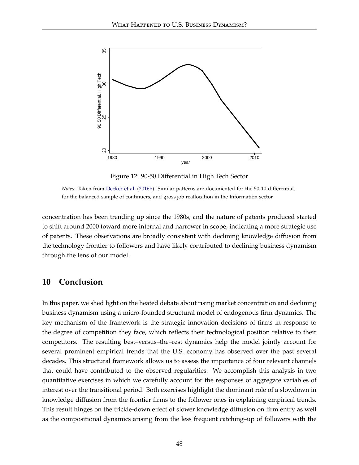<span id="page-49-1"></span>

Figure 12: 90-50 Differential in High Tech Sector

*Notes:* Taken from [Decker et al.](#page-53-8) [\(2016b\)](#page-53-8). Similar patterns are documented for the 50-10 differential, for the balanced sample of continuers, and gross job reallocation in the Information sector.

concentration has been trending up since the 1980s, and the nature of patents produced started to shift around 2000 toward more internal and narrower in scope, indicating a more strategic use of patents. These observations are broadly consistent with declining knowledge diffusion from the technology frontier to followers and have likely contributed to declining business dynamism through the lens of our model.

### <span id="page-49-0"></span>**10 Conclusion**

In this paper, we shed light on the heated debate about rising market concentration and declining business dynamism using a micro-founded structural model of endogenous firm dynamics. The key mechanism of the framework is the strategic innovation decisions of firms in response to the degree of competition they face, which reflects their technological position relative to their competitors. The resulting best–versus–the–rest dynamics help the model jointly account for several prominent empirical trends that the U.S. economy has observed over the past several decades. This structural framework allows us to assess the importance of four relevant channels that could have contributed to the observed regularities. We accomplish this analysis in two quantitative exercises in which we carefully account for the responses of aggregate variables of interest over the transitional period. Both exercises highlight the dominant role of a slowdown in knowledge diffusion from the frontier firms to the follower ones in explaining empirical trends. This result hinges on the trickle-down effect of slower knowledge diffusion on firm entry as well as the compositional dynamics arising from the less frequent catching–up of followers with the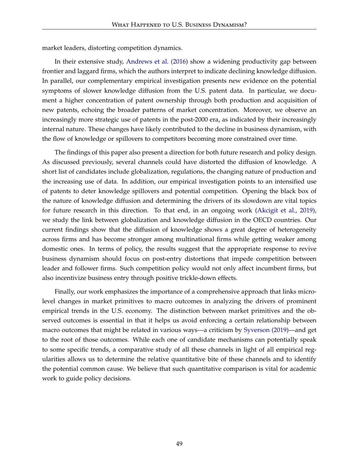market leaders, distorting competition dynamics.

In their extensive study, [Andrews et al.](#page-51-11) [\(2016\)](#page-51-11) show a widening productivity gap between frontier and laggard firms, which the authors interpret to indicate declining knowledge diffusion. In parallel, our complementary empirical investigation presents new evidence on the potential symptoms of slower knowledge diffusion from the U.S. patent data. In particular, we document a higher concentration of patent ownership through both production and acquisition of new patents, echoing the broader patterns of market concentration. Moreover, we observe an increasingly more strategic use of patents in the post-2000 era, as indicated by their increasingly internal nature. These changes have likely contributed to the decline in business dynamism, with the flow of knowledge or spillovers to competitors becoming more constrained over time.

The findings of this paper also present a direction for both future research and policy design. As discussed previously, several channels could have distorted the diffusion of knowledge. A short list of candidates include globalization, regulations, the changing nature of production and the increasing use of data. In addition, our empirical investigation points to an intensified use of patents to deter knowledge spillovers and potential competition. Opening the black box of the nature of knowledge diffusion and determining the drivers of its slowdown are vital topics for future research in this direction. To that end, in an ongoing work [\(Akcigit et al.,](#page-51-16) [2019\)](#page-51-16), we study the link between globalization and knowledge diffusion in the OECD countries. Our current findings show that the diffusion of knowledge shows a great degree of heterogeneity across firms and has become stronger among multinational firms while getting weaker among domestic ones. In terms of policy, the results suggest that the appropriate response to revive business dynamism should focus on post-entry distortions that impede competition between leader and follower firms. Such competition policy would not only affect incumbent firms, but also incentivize business entry through positive trickle-down effects.

Finally, our work emphasizes the importance of a comprehensive approach that links microlevel changes in market primitives to macro outcomes in analyzing the drivers of prominent empirical trends in the U.S. economy. The distinction between market primitives and the observed outcomes is essential in that it helps us avoid enforcing a certain relationship between macro outcomes that might be related in various ways—a criticism by [Syverson](#page-56-0) [\(2019\)](#page-56-0)—and get to the root of those outcomes. While each one of candidate mechanisms can potentially speak to some specific trends, a comparative study of all these channels in light of all empirical regularities allows us to determine the relative quantitative bite of these channels and to identify the potential common cause. We believe that such quantitative comparison is vital for academic work to guide policy decisions.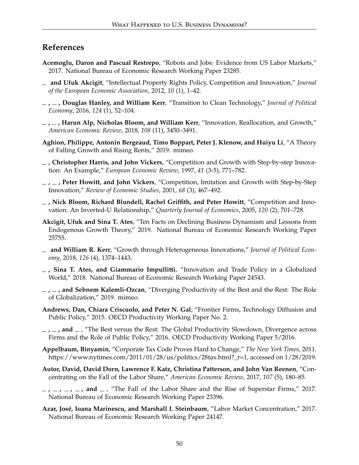## **References**

- <span id="page-51-8"></span>**Acemoglu, Daron and Pascual Restrepo**, "Robots and Jobs: Evidence from US Labor Markets," 2017. National Bureau of Economic Research Working Paper 23285.
- <span id="page-51-3"></span>**and Ufuk Akcigit**, "Intellectual Property Rights Policy, Competition and Innovation," *Journal of the European Economic Association*, 2012, *10* (1), 1–42.
- <span id="page-51-12"></span>**, , Douglas Hanley, and William Kerr**, "Transition to Clean Technology," *Journal of Political Economy*, 2016, *124* (1), 52–104.
- <span id="page-51-14"></span>**, , Harun Alp, Nicholas Bloom, and William Kerr**, "Innovation, Reallocation, and Growth," *American Economic Review*, 2018, *108* (11), 3450–3491.
- <span id="page-51-9"></span>**Aghion, Philippe, Antonin Bergeaud, Timo Boppart, Peter J. Klenow, and Huiyu Li**, "A Theory of Falling Growth and Rising Rents," 2019. mimeo.
- <span id="page-51-0"></span>**, Christopher Harris, and John Vickers**, "Competition and Growth with Step-by-step Innovation: An Example," *European Economic Review*, 1997, *41* (3-5), 771–782.
- <span id="page-51-1"></span>**, , Peter Howitt, and John Vickers**, "Competition, Imitation and Growth with Step-by-Step Innovation," *Review of Economic Studies*, 2001, *68* (3), 467–492.
- <span id="page-51-2"></span>**, Nick Bloom, Richard Blundell, Rachel Griffith, and Peter Howitt**, "Competition and Innovation: An Inverted-U Relationship," *Quarterly Journal of Economics*, 2005, *120* (2), 701–728.
- <span id="page-51-5"></span>**Akcigit, Ufuk and Sina T. Ates**, "Ten Facts on Declining Business Dynamism and Lessons from Endogenous Growth Theory," 2019. National Bureau of Economic Research Working Paper 25755.
- <span id="page-51-15"></span>**and William R. Kerr**, "Growth through Heterogeneous Innovations," *Journal of Political Economy*, 2018, *126* (4), 1374–1443.
- <span id="page-51-4"></span>**, Sina T. Ates, and Giammario Impullitti**, "Innovation and Trade Policy in a Globalized World," 2018. National Bureau of Economic Research Working Paper 24543.
- <span id="page-51-16"></span>**, , and Sebnem Kalemli-Ozcan**, "Diverging Productivity of the Best and the Rest: The Role of Globalization," 2019. mimeo.
- <span id="page-51-10"></span>**Andrews, Dan, Chiara Criscuolo, and Peter N. Gal**, "Frontier Firms, Technology Diffusion and Public Policy," 2015. OECD Productivity Working Paper No. 2.
- <span id="page-51-11"></span>**, , and** , "The Best versus the Rest: The Global Productivity Slowdown, Divergence across Firms and the Role of Public Policy," 2016. OECD Productivity Working Paper 5/2016.
- <span id="page-51-17"></span>**Appelbaum, Binyamin**, "Corporate Tax Code Proves Hard to Change," *The New York Times*, 2011. https://www.nytimes.com/2011/01/28/us/politics/28tax.html?\_r=1, accessed on 1/28/2019.
- <span id="page-51-6"></span>**Autor, David, David Dorn, Lawrence F. Katz, Christina Patterson, and John Van Reenen**, "Concentrating on the Fall of the Labor Share," *American Economic Review*, 2017, *107* (5), 180–85.
- <span id="page-51-7"></span> $\lambda$ ,  $\lambda$ ,  $\lambda$ ,  $\lambda$ ,  $\lambda$ , and  $\lambda$ , "The Fall of the Labor Share and the Rise of Superstar Firms," 2017. National Bureau of Economic Research Working Paper 23396.
- <span id="page-51-13"></span>**Azar, José, Ioana Marinescu, and Marshall I. Steinbaum**, "Labor Market Concentration," 2017. National Bureau of Economic Research Working Paper 24147.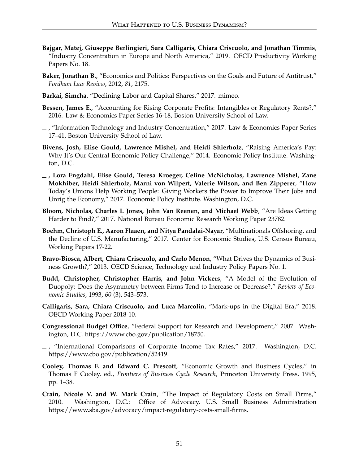- <span id="page-52-2"></span>**Bajgar, Matej, Giuseppe Berlingieri, Sara Calligaris, Chiara Criscuolo, and Jonathan Timmis**, "Industry Concentration in Europe and North America," 2019. OECD Productivity Working Papers No. 18.
- <span id="page-52-7"></span>**Baker, Jonathan B.**, "Economics and Politics: Perspectives on the Goals and Future of Antitrust," *Fordham Law Review*, 2012, *81*, 2175.
- <span id="page-52-1"></span>**Barkai, Simcha**, "Declining Labor and Capital Shares," 2017. mimeo.
- <span id="page-52-8"></span>**Bessen, James E.**, "Accounting for Rising Corporate Profits: Intangibles or Regulatory Rents?," 2016. Law & Economics Paper Series 16-18, Boston University School of Law.
- <span id="page-52-4"></span> $\sim$ , "Information Technology and Industry Concentration," 2017. Law & Economics Paper Series 17–41, Boston University School of Law.
- <span id="page-52-11"></span>**Bivens, Josh, Elise Gould, Lawrence Mishel, and Heidi Shierholz**, "Raising America's Pay: Why It's Our Central Economic Policy Challenge," 2014. Economic Policy Institute. Washington, D.C.
- <span id="page-52-12"></span>**, Lora Engdahl, Elise Gould, Teresa Kroeger, Celine McNicholas, Lawrence Mishel, Zane Mokhiber, Heidi Shierholz, Marni von Wilpert, Valerie Wilson, and Ben Zipperer**, "How Today's Unions Help Working People: Giving Workers the Power to Improve Their Jobs and Unrig the Economy," 2017. Economic Policy Institute. Washington, D.C.
- <span id="page-52-10"></span>**Bloom, Nicholas, Charles I. Jones, John Van Reenen, and Michael Webb**, "Are Ideas Getting Harder to Find?," 2017. National Bureau Economic Research Working Paper 23782.
- <span id="page-52-5"></span>**Boehm, Christoph E., Aaron Flaaen, and Nitya Pandalai-Nayar**, "Multinationals Offshoring, and the Decline of U.S. Manufacturing," 2017. Center for Economic Studies, U.S. Census Bureau, Working Papers 17-22.
- <span id="page-52-6"></span>**Bravo-Biosca, Albert, Chiara Criscuolo, and Carlo Menon**, "What Drives the Dynamics of Business Growth?," 2013. OECD Science, Technology and Industry Policy Papers No. 1.
- <span id="page-52-0"></span>**Budd, Christopher, Christopher Harris, and John Vickers**, "A Model of the Evolution of Duopoly: Does the Asymmetry between Firms Tend to Increase or Decrease?," *Review of Economic Studies*, 1993, *60* (3), 543–573.
- <span id="page-52-3"></span>**Calligaris, Sara, Chiara Criscuolo, and Luca Marcolin**, "Mark-ups in the Digital Era," 2018. OECD Working Paper 2018-10.
- <span id="page-52-15"></span>**Congressional Budget Office**, "Federal Support for Research and Development," 2007. Washington, D.C. https://www.cbo.gov/publication/18750.
- <span id="page-52-13"></span> $\sim$ , "International Comparisons of Corporate Income Tax Rates," 2017. Washington, D.C. https://www.cbo.gov/publication/52419.
- <span id="page-52-9"></span>**Cooley, Thomas F. and Edward C. Prescott**, "Economic Growth and Business Cycles," in Thomas F Cooley, ed., *Frontiers of Business Cycle Research*, Princeton University Press, 1995, pp. 1–38.
- <span id="page-52-14"></span>**Crain, Nicole V. and W. Mark Crain**, "The Impact of Regulatory Costs on Small Firms," 2010. Washington, D.C.: Office of Advocacy, U.S. Small Business Administration https://www.sba.gov/advocacy/impact-regulatory-costs-small-firms.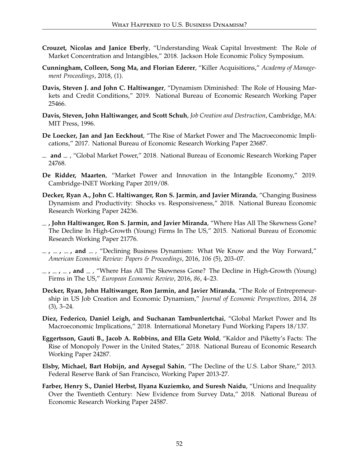- <span id="page-53-3"></span>**Crouzet, Nicolas and Janice Eberly**, "Understanding Weak Capital Investment: The Role of Market Concentration and Intangibles," 2018. Jackson Hole Economic Policy Symposium.
- <span id="page-53-11"></span>**Cunningham, Colleen, Song Ma, and Florian Ederer**, "Killer Acquisitions," *Academy of Management Proceedings*, 2018, (1).
- <span id="page-53-10"></span>**Davis, Steven J. and John C. Haltiwanger**, "Dynamism Diminished: The Role of Housing Markets and Credit Conditions," 2019. National Bureau of Economic Research Working Paper 25466.
- <span id="page-53-13"></span>**Davis, Steven, John Haltiwanger, and Scott Schuh**, *Job Creation and Destruction*, Cambridge, MA: MIT Press, 1996.
- <span id="page-53-0"></span>**De Loecker, Jan and Jan Eeckhout**, "The Rise of Market Power and The Macroeconomic Implications," 2017. National Bureau of Economic Research Working Paper 23687.
- <span id="page-53-2"></span>**and** , "Global Market Power," 2018. National Bureau of Economic Research Working Paper 24768.
- <span id="page-53-7"></span>**De Ridder, Maarten**, "Market Power and Innovation in the Intangible Economy," 2019. Cambridge-INET Working Paper 2019/08.
- <span id="page-53-5"></span>**Decker, Ryan A., John C. Haltiwanger, Ron S. Jarmin, and Javier Miranda**, "Changing Business Dynamism and Productivity: Shocks vs. Responsiveness," 2018. National Bureau Economic Research Working Paper 24236.
- <span id="page-53-14"></span>**, John Haltiwanger, Ron S. Jarmin, and Javier Miranda**, "Where Has All The Skewness Gone? The Decline In High-Growth (Young) Firms In The US," 2015. National Bureau of Economic Research Working Paper 21776.
- <span id="page-53-9"></span> $\alpha$ ,  $\beta$ ,  $\gamma$ ,  $\alpha$ , **and**  $\beta$ , "Declining Business Dynamism: What We Know and the Way Forward," *American Economic Review: Papers & Proceedings*, 2016, *106* (5), 203–07.
- <span id="page-53-8"></span> $\lambda$ ,  $\lambda$ ,  $\lambda$ , **and**  $\lambda$ , "Where Has All The Skewness Gone? The Decline in High-Growth (Young) Firms in The US," *European Economic Review*, 2016, *86*, 4–23.
- <span id="page-53-12"></span>**Decker, Ryan, John Haltiwanger, Ron Jarmin, and Javier Miranda**, "The Role of Entrepreneurship in US Job Creation and Economic Dynamism," *Journal of Economic Perspectives*, 2014, *28*  $(3)$ , 3–24.
- <span id="page-53-6"></span>**Diez, Federico, Daniel Leigh, and Suchanan Tambunlertchai**, "Global Market Power and Its Macroeconomic Implications," 2018. International Monetary Fund Working Papers 18/137.
- <span id="page-53-1"></span>**Eggertsson, Gauti B., Jacob A. Robbins, and Ella Getz Wold**, "Kaldor and Piketty's Facts: The Rise of Monopoly Power in the United States," 2018. National Bureau of Economic Research Working Paper 24287.
- <span id="page-53-4"></span>**Elsby, Michael, Bart Hobijn, and Aysegul Sahin**, "The Decline of the U.S. Labor Share," 2013. Federal Reserve Bank of San Francisco, Working Paper 2013-27.
- <span id="page-53-15"></span>**Farber, Henry S., Daniel Herbst, Ilyana Kuziemko, and Suresh Naidu**, "Unions and Inequality Over the Twentieth Century: New Evidence from Survey Data," 2018. National Bureau of Economic Research Working Paper 24587.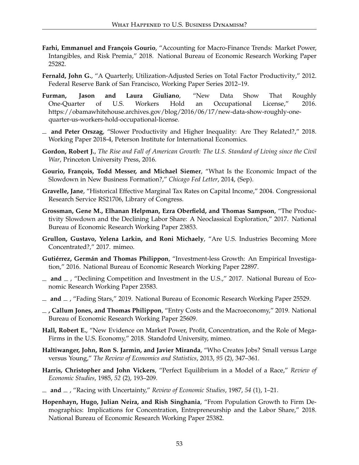- <span id="page-54-7"></span>**Farhi, Emmanuel and François Gourio**, "Accounting for Macro-Finance Trends: Market Power, Intangibles, and Risk Premia," 2018. National Bureau of Economic Research Working Paper 25282.
- <span id="page-54-14"></span>**Fernald, John G.**, "A Quarterly, Utilization-Adjusted Series on Total Factor Productivity," 2012. Federal Reserve Bank of San Francisco, Working Paper Series 2012–19.
- <span id="page-54-2"></span>**Furman, Jason and Laura Giuliano**, "New Data Show That Roughly One-Quarter of U.S. Workers Hold an Occupational License," 2016. https://obamawhitehouse.archives.gov/blog/2016/06/17/new-data-show-roughly-onequarter-us-workers-hold-occupational-license.
- <span id="page-54-12"></span>**and Peter Orszag**, "Slower Productivity and Higher Inequality: Are They Related?," 2018. Working Paper 2018-4, Peterson Institute for International Economics.
- <span id="page-54-16"></span>**Gordon, Robert J.**, *The Rise and Fall of American Growth: The U.S. Standard of Living since the Civil War*, Princeton University Press, 2016.
- <span id="page-54-11"></span>**Gourio, François, Todd Messer, and Michael Siemer**, "What Is the Economic Impact of the Slowdown in New Business Formation?," *Chicago Fed Letter*, 2014, (Sep).
- <span id="page-54-17"></span>**Gravelle, Jane**, "Historical Effective Marginal Tax Rates on Capital Income," 2004. Congressional Research Service RS21706, Library of Congress.
- <span id="page-54-9"></span>**Grossman, Gene M., Elhanan Helpman, Ezra Oberfield, and Thomas Sampson**, "The Productivity Slowdown and the Declining Labor Share: A Neoclassical Exploration," 2017. National Bureau of Economic Research Working Paper 23853.
- <span id="page-54-3"></span>**Grullon, Gustavo, Yelena Larkin, and Roni Michaely**, "Are U.S. Industries Becoming More Concentrated?," 2017. mimeo.
- <span id="page-54-4"></span>**Gutiérrez, Germán and Thomas Philippon**, "Investment-less Growth: An Empirical Investigation," 2016. National Bureau of Economic Research Working Paper 22897.
- <span id="page-54-5"></span>**and** , "Declining Competition and Investment in the U.S.," 2017. National Bureau of Economic Research Working Paper 23583.
- <span id="page-54-10"></span>**and** , "Fading Stars," 2019. National Bureau of Economic Research Working Paper 25529.
- <span id="page-54-15"></span>**, Callum Jones, and Thomas Philippon**, "Entry Costs and the Macroeconomy," 2019. National Bureau of Economic Research Working Paper 25609.
- <span id="page-54-6"></span>**Hall, Robert E.**, "New Evidence on Market Power, Profit, Concentration, and the Role of Mega-Firms in the U.S. Economy," 2018. Standofrd University, mimeo.
- <span id="page-54-13"></span>**Haltiwanger, John, Ron S. Jarmin, and Javier Miranda**, "Who Creates Jobs? Small versus Large versus Young," *The Review of Economics and Statistics*, 2013, *95* (2), 347–361.
- <span id="page-54-0"></span>**Harris, Christopher and John Vickers**, "Perfect Equilibrium in a Model of a Race," *Review of Economic Studies*, 1985, *52* (2), 193–209.
- <span id="page-54-1"></span>**and** , "Racing with Uncertainty," *Review of Economic Studies*, 1987, *54* (1), 1–21.
- <span id="page-54-8"></span>**Hopenhayn, Hugo, Julian Neira, and Rish Singhania**, "From Population Growth to Firm Demographics: Implications for Concentration, Entrepreneurship and the Labor Share," 2018. National Bureau of Economic Research Working Paper 25382.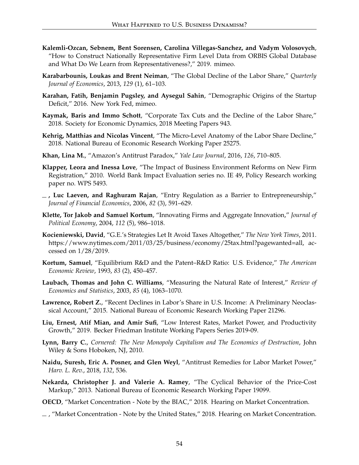- <span id="page-55-1"></span>**Kalemli-Ozcan, Sebnem, Bent Sorensen, Carolina Villegas-Sanchez, and Vadym Volosovych**, "How to Construct Nationally Representative Firm Level Data from ORBIS Global Database and What Do We Learn from Representativeness?," 2019. mimeo.
- <span id="page-55-3"></span>**Karabarbounis, Loukas and Brent Neiman**, "The Global Decline of the Labor Share," *Quarterly Journal of Economics*, 2013, *129* (1), 61–103.
- <span id="page-55-9"></span>**Karahan, Fatih, Benjamin Pugsley, and Aysegul Sahin**, "Demographic Origins of the Startup Deficit," 2016. New York Fed, mimeo.
- <span id="page-55-5"></span>**Kaymak, Baris and Immo Schott**, "Corporate Tax Cuts and the Decline of the Labor Share," 2018. Society for Economic Dynamics, 2018 Meeting Papers 943.
- <span id="page-55-15"></span>**Kehrig, Matthias and Nicolas Vincent**, "The Micro-Level Anatomy of the Labor Share Decline," 2018. National Bureau of Economic Research Working Paper 25275.
- <span id="page-55-10"></span>**Khan, Lina M.**, "Amazon's Antitrust Paradox," *Yale Law Journal*, 2016, *126*, 710–805.
- <span id="page-55-18"></span>**Klapper, Leora and Inessa Love**, "The Impact of Business Environment Reforms on New Firm Registration," 2010. World Bank Impact Evaluation series no. IE 49, Policy Research working paper no. WPS 5493.
- <span id="page-55-17"></span>**, Luc Laeven, and Raghuram Rajan**, "Entry Regulation as a Barrier to Entrepreneurship," *Journal of Financial Economics*, 2006, *82* (3), 591–629.
- <span id="page-55-6"></span>**Klette, Tor Jakob and Samuel Kortum**, "Innovating Firms and Aggregate Innovation," *Journal of Political Economy*, 2004, *112* (5), 986–1018.
- <span id="page-55-16"></span>**Kocieniewski, David**, "G.E.'s Strategies Let It Avoid Taxes Altogether," *The New York Times*, 2011. https://www.nytimes.com/2011/03/25/business/economy/25tax.html?pagewanted=all, accessed on 1/28/2019.
- <span id="page-55-12"></span>**Kortum, Samuel**, "Equilibrium R&D and the Patent–R&D Ratio: U.S. Evidence," *The American Economic Review*, 1993, *83* (2), 450–457.
- <span id="page-55-14"></span>**Laubach, Thomas and John C. Williams**, "Measuring the Natural Rate of Interest," *Review of Economics and Statistics*, 2003, *85* (4), 1063–1070.
- <span id="page-55-4"></span>**Lawrence, Robert Z.**, "Recent Declines in Labor's Share in U.S. Income: A Preliminary Neoclassical Account," 2015. National Bureau of Economic Research Working Paper 21296.
- <span id="page-55-2"></span>**Liu, Ernest, Atif Mian, and Amir Sufi**, "Low Interest Rates, Market Power, and Productivity Growth," 2019. Becker Friedman Institute Working Papers Series 2019-09.
- <span id="page-55-11"></span>**Lynn, Barry C.**, *Cornered: The New Monopoly Capitalism and The Economics of Destruction*, John Wiley & Sons Hoboken, NJ, 2010.
- <span id="page-55-13"></span>**Naidu, Suresh, Eric A. Posner, and Glen Weyl**, "Antitrust Remedies for Labor Market Power," *Harv. L. Rev.*, 2018, *132*, 536.
- <span id="page-55-0"></span>**Nekarda, Christopher J. and Valerie A. Ramey**, "The Cyclical Behavior of the Price-Cost Markup," 2013. National Bureau of Economic Research Working Paper 19099.
- <span id="page-55-8"></span>**OECD**, "Market Concentration - Note by the BIAC," 2018. Hearing on Market Concentration.
- <span id="page-55-7"></span> $\sim$ , "Market Concentration - Note by the United States," 2018. Hearing on Market Concentration.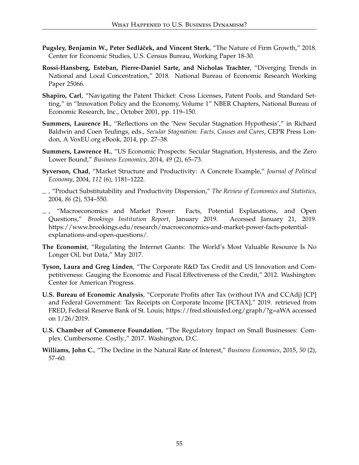- <span id="page-56-4"></span>**Pugsley, Benjamin W., Peter Sedláˇcek, and Vincent Sterk**, "The Nature of Firm Growth," 2018. Center for Economic Studies, U.S. Census Bureau, Working Paper 18-30.
- <span id="page-56-3"></span>**Rossi-Hansberg, Esteban, Pierre-Daniel Sarte, and Nicholas Trachter**, "Diverging Trends in National and Local Concentration," 2018. National Bureau of Economic Research Working Paper 25066.
- <span id="page-56-9"></span>**Shapiro, Carl**, "Navigating the Patent Thicket: Cross Licenses, Patent Pools, and Standard Setting," in "Innovation Policy and the Economy, Volume 1" NBER Chapters, National Bureau of Economic Research, Inc., October 2001, pp. 119–150.
- <span id="page-56-8"></span>**Summers, Laurence H.**, "Reflections on the 'New Secular Stagnation Hypothesis'," in Richard Baldwin and Coen Teulings, eds., *Secular Stagnation: Facts, Causes and Cures*, CEPR Press London, A VoxEU.org eBook, 2014, pp. 27–38.
- <span id="page-56-6"></span>**Summers, Lawrence H.**, "US Economic Prospects: Secular Stagnation, Hysteresis, and the Zero Lower Bound," *Business Economics*, 2014, *49* (2), 65–73.
- <span id="page-56-1"></span>**Syverson, Chad**, "Market Structure and Productivity: A Concrete Example," *Journal of Political Economy*, 2004, *112* (6), 1181–1222.
- <span id="page-56-2"></span>, "Product Substitutability and Productivity Dispersion," *The Review of Economics and Statistics*, 2004, *86* (2), 534–550.
- <span id="page-56-0"></span>, "Macroeconomics and Market Power: Facts, Potential Explanations, and Open Questions," *Brookings Institution Report*, January 2019. Accessed January 21, 2019. https://www.brookings.edu/research/macroeconomics-and-market-power-facts-potentialexplanations-and-open-questions/.
- <span id="page-56-5"></span>**The Economist**, "Regulating the Internet Giants: The World's Most Valuable Resource Is No Longer Oil, but Data," May 2017.
- <span id="page-56-11"></span>**Tyson, Laura and Greg Linden**, "The Corporate R&D Tax Credit and US Innovation and Competitiveness: Gauging the Economic and Fiscal Effectiveness of the Credit," 2012. Washington: Center for American Progress.
- <span id="page-56-10"></span>**U.S. Bureau of Economic Analysis**, "Corporate Profits after Tax (without IVA and CCAdj) [CP] and Federal Government: Tax Receipts on Corporate Income [FCTAX]," 2019. retrieved from FRED, Federal Reserve Bank of St. Louis; https://fred.stlouisfed.org/graph/?g=aWA accessed on 1/26/2019.
- <span id="page-56-12"></span>**U.S. Chamber of Commerce Foundation**, "The Regulatory Impact on Small Businesses: Complex. Cumbersome. Costly.," 2017. Washington, D.C.
- <span id="page-56-7"></span>**Williams, John C.**, "The Decline in the Natural Rate of Interest," *Business Economics*, 2015, *50* (2), 57–60.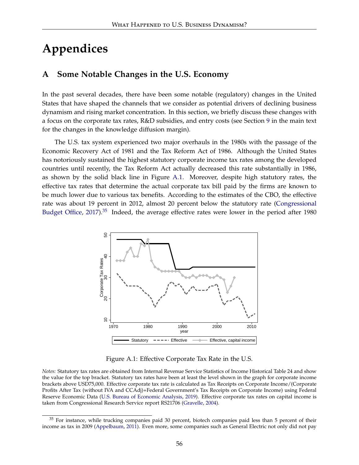# **Appendices**

### <span id="page-57-0"></span>**A Some Notable Changes in the U.S. Economy**

In the past several decades, there have been some notable (regulatory) changes in the United States that have shaped the channels that we consider as potential drivers of declining business dynamism and rising market concentration. In this section, we briefly discuss these changes with a focus on the corporate tax rates, R&D subsidies, and entry costs (see Section [9](#page-45-0) in the main text for the changes in the knowledge diffusion margin).

The U.S. tax system experienced two major overhauls in the 1980s with the passage of the Economic Recovery Act of 1981 and the Tax Reform Act of 1986. Although the United States has notoriously sustained the highest statutory corporate income tax rates among the developed countries until recently, the Tax Reform Act actually decreased this rate substantially in 1986, as shown by the solid black line in Figure [A.1.](#page-57-1) Moreover, despite high statutory rates, the effective tax rates that determine the actual corporate tax bill paid by the firms are known to be much lower due to various tax benefits. According to the estimates of the CBO, the effective rate was about 19 percent in 2012, almost 20 percent below the statutory rate [\(Congressional](#page-52-13) [Budget Office,](#page-52-13) [2017\)](#page-52-13).<sup>[35](#page-57-2)</sup> Indeed, the average effective rates were lower in the period after 1980

<span id="page-57-1"></span>

Figure A.1: Effective Corporate Tax Rate in the U.S.

*Notes:* Statutory tax rates are obtained from Internal Revenue Service Statistics of Income Historical Table 24 and show the value for the top bracket. Statutory tax rates have been at least the level shown in the graph for corporate income brackets above USD75,000. Effective corporate tax rate is calculated as Tax Receipts on Corporate Income/(Corporate Profits After Tax (without IVA and CCAdj)+Federal Government's Tax Receipts on Corporate Income) using Federal Reserve Economic Data [\(U.S. Bureau of Economic Analysis,](#page-56-10) [2019\)](#page-56-10). Effective corporate tax rates on capital income is taken from Congressional Research Service report RS21706 [\(Gravelle,](#page-54-17) [2004\)](#page-54-17).

<span id="page-57-2"></span><sup>&</sup>lt;sup>35</sup> For instance, while trucking companies paid 30 percent, biotech companies paid less than 5 percent of their income as tax in 2009 [\(Appelbaum,](#page-51-17) [2011\)](#page-51-17). Even more, some companies such as General Electric not only did not pay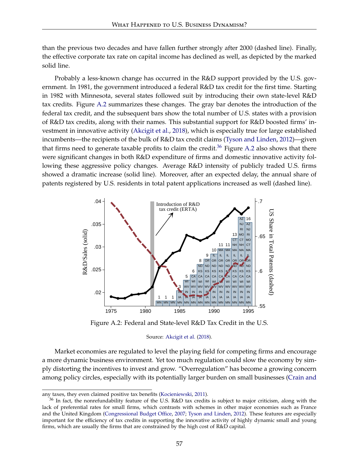than the previous two decades and have fallen further strongly after 2000 (dashed line). Finally, the effective corporate tax rate on capital income has declined as well, as depicted by the marked solid line.

Probably a less-known change has occurred in the R&D support provided by the U.S. government. In 1981, the government introduced a federal R&D tax credit for the first time. Starting in 1982 with Minnesota, several states followed suit by introducing their own state-level R&D tax credits. Figure [A.2](#page-58-0) summarizes these changes. The gray bar denotes the introduction of the federal tax credit, and the subsequent bars show the total number of U.S. states with a provision of R&D tax credits, along with their names. This substantial support for R&D boosted firms' investment in innovative activity [\(Akcigit et al.,](#page-51-4) [2018\)](#page-51-4), which is especially true for large established incumbents—the recipients of the bulk of R&D tax credit claims [\(Tyson and Linden,](#page-56-11) [2012\)](#page-56-11)—given that firms need to generate taxable profits to claim the credit.<sup>[36](#page-58-1)</sup> Figure [A.2](#page-58-0) also shows that there were significant changes in both R&D expenditure of firms and domestic innovative activity following these aggressive policy changes. Average R&D intensity of publicly traded U.S. firms nowing these aggressive policy changes. Average K&D intensity of publicty traded U.S. firms<br>showed a dramatic increase (solid line). Moreover, after an expected delay, the annual share of patents registered by U.S. residents in total patent applications increased as well (dashed line).

<span id="page-58-0"></span>

Figure A.2: Federal and State-level R&D Tax Credit in the U.S.<br>.

#### Source: [Akcigit et al.](#page-51-4) [\(2018\)](#page-51-4).

Market economies are regulated to level the playing field for competing firms and encourage a more dynamic business environment. Yet too much regulation could slow the economy by simply distorting the incentives to invest and grow. "Overregulation" has become a growing concern among policy circles, especially with its potentially larger burden on small businesses [\(Crain and](#page-52-14)

[any taxes, they even claimed positive tax benefits \(Kocieniewski,](#page-52-14) [2011\)](#page-55-16).

<span id="page-58-1"></span> $36$  [In fact, the nonrefundability feature of the U.S. R&D tax credits is subject to major criticism, along with the](#page-52-14) [lack of preferential rates for small firms, which contrasts with schemes in other major economies such as France](#page-52-14) [and the United Kingdom \(Congressional Budget Office,](#page-52-14) [2007;](#page-52-15) [Tyson and Linden,](#page-56-11) [2012\)](#page-56-11). These features are especially [important for the efficiency of tax credits in supporting the innovative activity of highly dynamic small and young](#page-52-14) [firms, which are usually the firms that are constrained by the high cost of R&D capital.](#page-52-14)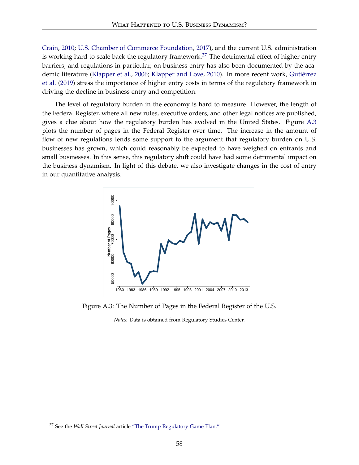[Crain,](#page-52-14) [2010;](#page-52-14) [U.S. Chamber of Commerce Foundation,](#page-56-12) [2017\)](#page-56-12), and the current U.S. administration is working hard to scale back the regulatory framework.<sup>[37](#page-59-0)</sup> The detrimental effect of higher entry barriers, and regulations in particular, on business entry has also been documented by the academic literature [\(Klapper et al.,](#page-55-17) [2006;](#page-55-17) [Klapper and Love,](#page-55-18) [2010\)](#page-55-18). In more recent work, [Gutiérrez](#page-54-15) [et al.](#page-54-15) [\(2019\)](#page-54-15) stress the importance of higher entry costs in terms of the regulatory framework in driving the decline in business entry and competition.

The level of regulatory burden in the economy is hard to measure. However, the length of the Federal Register, where all new rules, executive orders, and other legal notices are published, gives a clue about how the regulatory burden has evolved in the United States. Figure [A.3](#page-59-1) plots the number of pages in the Federal Register over time. The increase in the amount of flow of new regulations lends some support to the argument that regulatory burden on U.S. businesses has grown, which could reasonably be expected to have weighed on entrants and small businesses. In this sense, this regulatory shift could have had some detrimental impact on the business dynamism. In light of this debate, we also investigate changes in the cost of entry in our quantitative analysis.

<span id="page-59-1"></span>

Figure A.3: The Number of Pages in the Federal Register of the U.S.

*Notes:* Data is obtained from Regulatory Studies Center.

<span id="page-59-0"></span><sup>37</sup> See the *Wall Street Journal* article ["The Trump Regulatory Game Plan."](https://www.wsj.com/articles/the-trump-regulatory-game-plan-1513210177)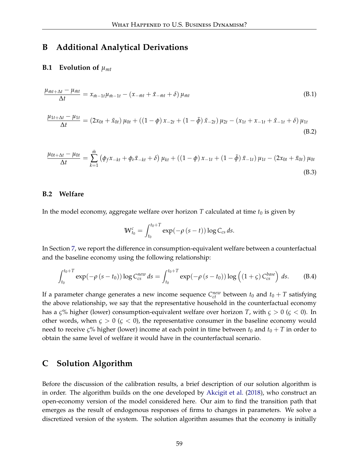### **B Additional Analytical Derivations**

### <span id="page-60-0"></span>**B.1** Evolution of  $\mu_{mt}$

$$
\frac{\mu_{\bar{m}t+\Delta t} - \mu_{\bar{m}t}}{\Delta t} = x_{\bar{m}-1t}\mu_{\bar{m}-1t} - (x_{-\bar{m}t} + \tilde{x}_{-\bar{m}t} + \delta)\mu_{\bar{m}t}
$$
(B.1)

$$
\frac{\mu_{1t+\Delta t} - \mu_{1t}}{\Delta t} = (2x_{0t} + \tilde{x}_{0t})\mu_{0t} + ((1 - \phi)x_{-2t} + (1 - \tilde{\phi})\tilde{x}_{-2t})\mu_{2t} - (x_{1t} + x_{-1t} + \tilde{x}_{-1t} + \delta)\mu_{1t}
$$
\n(B.2)

$$
\frac{\mu_{0t+\Delta t} - \mu_{0t}}{\Delta t} = \sum_{k=1}^{\bar{m}} (\phi_f x_{-kt} + \phi_e \tilde{x}_{-kt} + \delta) \mu_{kt} + ((1 - \phi) x_{-1t} + (1 - \tilde{\phi}) \tilde{x}_{-1t}) \mu_{1t} - (2x_{0t} + \tilde{x}_{0t}) \mu_{0t}
$$
\n(B.3)

### <span id="page-60-2"></span>**B.2 Welfare**

In the model economy, aggregate welfare over horizon  $T$  calculated at time  $t_0$  is given by

$$
\mathbb{W}_{t_0}^c = \int_{t_0}^{t_0+T} \exp(-\rho (s-t)) \log C_{cs} ds.
$$

In Section [7,](#page-36-0) we report the difference in consumption-equivalent welfare between a counterfactual and the baseline economy using the following relationship:

$$
\int_{t_0}^{t_0+T} \exp(-\rho (s-t_0)) \log C_{cs}^{new} ds = \int_{t_0}^{t_0+T} \exp(-\rho (s-t_0)) \log \left( (1+\varsigma) C_{cs}^{base} \right) ds. \tag{B.4}
$$

If a parameter change generates a new income sequence  $C_{ct}^{new}$  between  $t_0$  and  $t_0 + T$  satisfying the above relationship, we say that the representative household in the counterfactual economy has a *ς*% higher (lower) consumption-equivalent welfare over horizon *T*, with *ς* > 0 (*ς* < 0). In other words, when  $\varsigma > 0$  ( $\varsigma < 0$ ), the representative consumer in the baseline economy would need to receive  $\zeta$ % higher (lower) income at each point in time between  $t_0$  and  $t_0 + T$  in order to obtain the same level of welfare it would have in the counterfactual scenario.

### <span id="page-60-1"></span>**C Solution Algorithm**

Before the discussion of the calibration results, a brief description of our solution algorithm is in order. The algorithm builds on the one developed by [Akcigit et al.](#page-51-4) [\(2018\)](#page-51-4), who construct an open-economy version of the model considered here. Our aim to find the transition path that emerges as the result of endogenous responses of firms to changes in parameters. We solve a discretized version of the system. The solution algorithm assumes that the economy is initially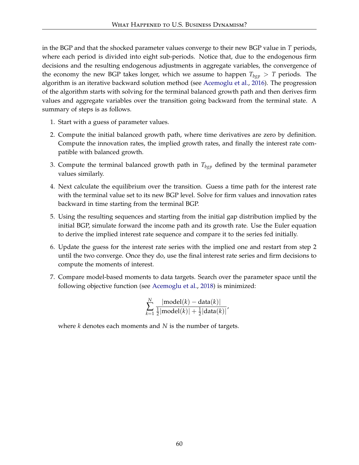in the BGP and that the shocked parameter values converge to their new BGP value in *T* periods, where each period is divided into eight sub-periods. Notice that, due to the endogenous firm decisions and the resulting endogenous adjustments in aggregate variables, the convergence of the economy the new BGP takes longer, which we assume to happen  $T_{bgp} > T$  periods. The algorithm is an iterative backward solution method (see [Acemoglu et al.,](#page-51-12) [2016\)](#page-51-12). The progression of the algorithm starts with solving for the terminal balanced growth path and then derives firm values and aggregate variables over the transition going backward from the terminal state. A summary of steps is as follows.

- 1. Start with a guess of parameter values.
- 2. Compute the initial balanced growth path, where time derivatives are zero by definition. Compute the innovation rates, the implied growth rates, and finally the interest rate compatible with balanced growth.
- 3. Compute the terminal balanced growth path in  $T_{bgp}$  defined by the terminal parameter values similarly.
- 4. Next calculate the equilibrium over the transition. Guess a time path for the interest rate with the terminal value set to its new BGP level. Solve for firm values and innovation rates backward in time starting from the terminal BGP.
- 5. Using the resulting sequences and starting from the initial gap distribution implied by the initial BGP, simulate forward the income path and its growth rate. Use the Euler equation to derive the implied interest rate sequence and compare it to the series fed initially.
- 6. Update the guess for the interest rate series with the implied one and restart from step 2 until the two converge. Once they do, use the final interest rate series and firm decisions to compute the moments of interest.
- 7. Compare model-based moments to data targets. Search over the parameter space until the following objective function (see [Acemoglu et al.,](#page-51-14) [2018\)](#page-51-14) is minimized:

$$
\sum_{k=1}^{N} \frac{|\text{model}(k) - \text{data}(k)|}{\frac{1}{2}|\text{model}(k)| + \frac{1}{2}|\text{data}(k)|},
$$

where *k* denotes each moments and *N* is the number of targets.